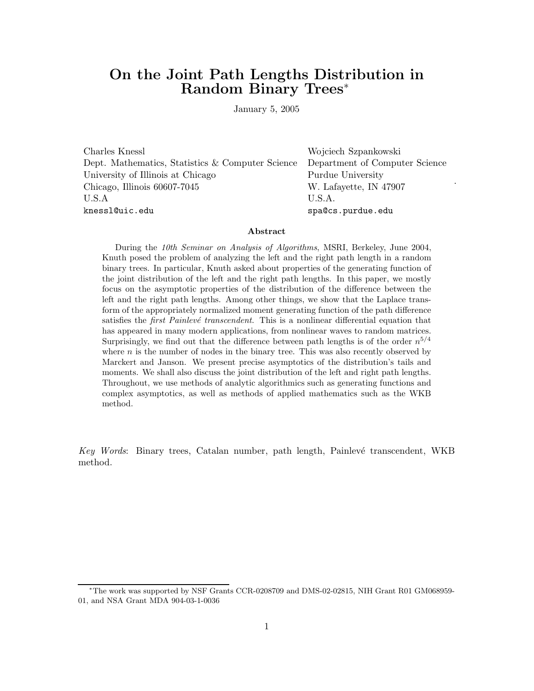# **On the Joint Path Lengths Distribution in Random Binary Trees**<sup>∗</sup>

January 5, 2005

Charles Knessl Wojciech Szpankowski Dept. Mathematics, Statistics & Computer Science Department of Computer Science University of Illinois at Chicago Purdue University Chicago, Illinois 60607-7045 W. Lafayette, IN 47907 U.S.A U.S.A. knessl@uic.edu spa@cs.purdue.edu

.

#### **Abstract**

During the *10th Seminar on Analysis of Algorithms*, MSRI, Berkeley, June 2004, Knuth posed the problem of analyzing the left and the right path length in a random binary trees. In particular, Knuth asked about properties of the generating function of the joint distribution of the left and the right path lengths. In this paper, we mostly focus on the asymptotic properties of the distribution of the difference between the left and the right path lengths. Among other things, we show that the Laplace transform of the appropriately normalized moment generating function of the path difference satisfies the *first Painlevé transcendent*. This is a nonlinear differential equation that has appeared in many modern applications, from nonlinear waves to random matrices. Surprisingly, we find out that the difference between path lengths is of the order  $n^{5/4}$ where  $n$  is the number of nodes in the binary tree. This was also recently observed by Marckert and Janson. We present precise asymptotics of the distribution's tails and moments. We shall also discuss the joint distribution of the left and right path lengths. Throughout, we use methods of analytic algorithmics such as generating functions and complex asymptotics, as well as methods of applied mathematics such as the WKB method.

*Key Words*: Binary trees, Catalan number, path length, Painlevé transcendent, WKB method.

<sup>∗</sup>The work was supported by NSF Grants CCR-0208709 and DMS-02-02815, NIH Grant R01 GM068959- 01, and NSA Grant MDA 904-03-1-0036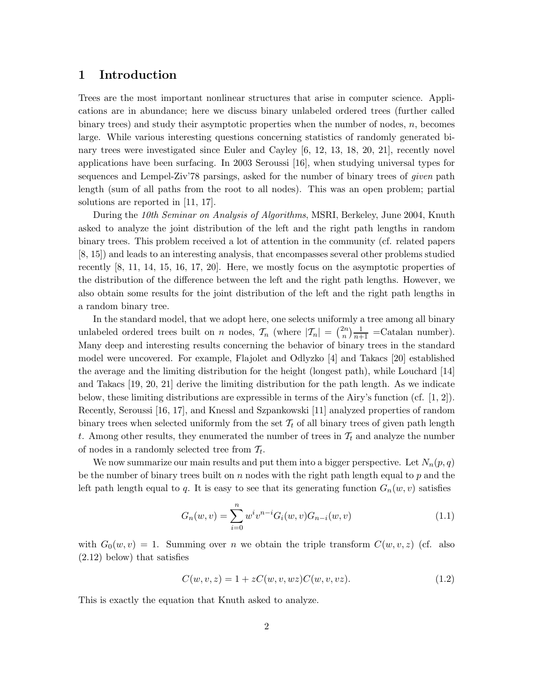#### **1 Introduction**

Trees are the most important nonlinear structures that arise in computer science. Applications are in abundance; here we discuss binary unlabeled ordered trees (further called binary trees) and study their asymptotic properties when the number of nodes, *n*, becomes large. While various interesting questions concerning statistics of randomly generated binary trees were investigated since Euler and Cayley [6, 12, 13, 18, 20, 21], recently novel applications have been surfacing. In 2003 Seroussi [16], when studying universal types for sequences and Lempel-Ziv'78 parsings, asked for the number of binary trees of *given* path length (sum of all paths from the root to all nodes). This was an open problem; partial solutions are reported in [11, 17].

During the *10th Seminar on Analysis of Algorithms*, MSRI, Berkeley, June 2004, Knuth asked to analyze the joint distribution of the left and the right path lengths in random binary trees. This problem received a lot of attention in the community (cf. related papers [8, 15]) and leads to an interesting analysis, that encompasses several other problems studied recently [8, 11, 14, 15, 16, 17, 20]. Here, we mostly focus on the asymptotic properties of the distribution of the difference between the left and the right path lengths. However, we also obtain some results for the joint distribution of the left and the right path lengths in a random binary tree.

In the standard model, that we adopt here, one selects uniformly a tree among all binary unlabeled ordered trees built on *n* nodes,  $\mathcal{T}_n$  (where  $|\mathcal{T}_n| = \binom{2n}{n} \frac{1}{n+1}$  = Catalan number). Many deep and interesting results concerning the behavior of binary trees in the standard model were uncovered. For example, Flajolet and Odlyzko [4] and Takacs [20] established the average and the limiting distribution for the height (longest path), while Louchard [14] and Takacs [19, 20, 21] derive the limiting distribution for the path length. As we indicate below, these limiting distributions are expressible in terms of the Airy's function (cf. [1, 2]). Recently, Seroussi [16, 17], and Knessl and Szpankowski [11] analyzed properties of random binary trees when selected uniformly from the set  $\mathcal{T}_t$  of all binary trees of given path length t. Among other results, they enumerated the number of trees in  $\mathcal{T}_t$  and analyze the number of nodes in a randomly selected tree from T*t*.

We now summarize our main results and put them into a bigger perspective. Let  $N_n(p,q)$ be the number of binary trees built on *n* nodes with the right path length equal to *p* and the left path length equal to *q*. It is easy to see that its generating function  $G_n(w, v)$  satisfies

$$
G_n(w, v) = \sum_{i=0}^{n} w^i v^{n-i} G_i(w, v) G_{n-i}(w, v)
$$
\n(1.1)

with  $G_0(w, v) = 1$ . Summing over *n* we obtain the triple transform  $C(w, v, z)$  (cf. also (2.12) below) that satisfies

$$
C(w, v, z) = 1 + zC(w, v, wz)C(w, v, vz).
$$
\n(1.2)

This is exactly the equation that Knuth asked to analyze.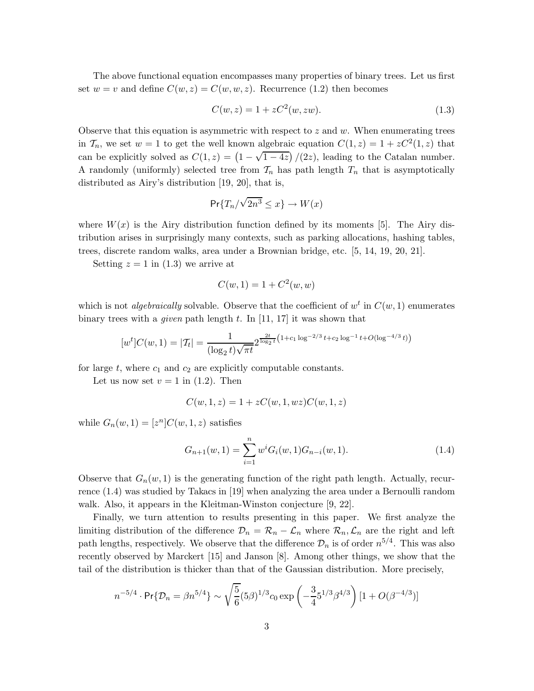The above functional equation encompasses many properties of binary trees. Let us first set  $w = v$  and define  $C(w, z) = C(w, w, z)$ . Recurrence (1.2) then becomes

$$
C(w, z) = 1 + zC^2(w, zw). \tag{1.3}
$$

Observe that this equation is asymmetric with respect to *z* and *w*. When enumerating trees in  $\mathcal{T}_n$ , we set  $w = 1$  to get the well known algebraic equation  $C(1, z) = 1 + zC^2(1, z)$  that can be explicitly solved as  $C(1, z) = \left(1 - \sqrt{1 - 4z}\right)/(2z)$ , leading to the Catalan number. A randomly (uniformly) selected tree from  $\mathcal{T}_n$  has path length  $T_n$  that is asymptotically distributed as Airy's distribution [19, 20], that is,

$$
\Pr\{T_n/\sqrt{2n^3} \le x\} \to W(x)
$$

where  $W(x)$  is the Airy distribution function defined by its moments [5]. The Airy distribution arises in surprisingly many contexts, such as parking allocations, hashing tables, trees, discrete random walks, area under a Brownian bridge, etc. [5, 14, 19, 20, 21].

Setting  $z = 1$  in (1.3) we arrive at

$$
C(w, 1) = 1 + C2(w, w)
$$

which is not *algebraically* solvable. Observe that the coefficient of  $w<sup>t</sup>$  in  $C(w, 1)$  enumerates binary trees with a *given* path length *t*. In [11, 17] it was shown that

$$
[w^t]C(w,1) = |T_t| = \frac{1}{(\log_2 t)\sqrt{\pi t}} 2^{\frac{2t}{\log_2 t}(1+c_1\log^{-2/3}t+c_2\log^{-1}t+O(\log^{-4/3}t))}
$$

for large  $t$ , where  $c_1$  and  $c_2$  are explicitly computable constants.

Let us now set  $v = 1$  in  $(1.2)$ . Then

$$
C(w, 1, z) = 1 + zC(w, 1, wz)C(w, 1, z)
$$

while  $G_n(w, 1) = [z^n]C(w, 1, z)$  satisfies

$$
G_{n+1}(w,1) = \sum_{i=1}^{n} w^{i} G_i(w,1) G_{n-i}(w,1).
$$
 (1.4)

Observe that  $G_n(w, 1)$  is the generating function of the right path length. Actually, recurrence (1.4) was studied by Takacs in [19] when analyzing the area under a Bernoulli random walk. Also, it appears in the Kleitman-Winston conjecture [9, 22].

Finally, we turn attention to results presenting in this paper. We first analyze the limiting distribution of the difference  $\mathcal{D}_n = \mathcal{R}_n - \mathcal{L}_n$  where  $\mathcal{R}_n, \mathcal{L}_n$  are the right and left path lengths, respectively. We observe that the difference  $\mathcal{D}_n$  is of order  $n^{5/4}$ . This was also recently observed by Marckert [15] and Janson [8]. Among other things, we show that the tail of the distribution is thicker than that of the Gaussian distribution. More precisely,

$$
n^{-5/4} \cdot \Pr\{\mathcal{D}_n = \beta n^{5/4}\} \sim \sqrt{\frac{5}{6}} (5\beta)^{1/3} c_0 \exp\left(-\frac{3}{4} 5^{1/3} \beta^{4/3}\right) [1 + O(\beta^{-4/3})]
$$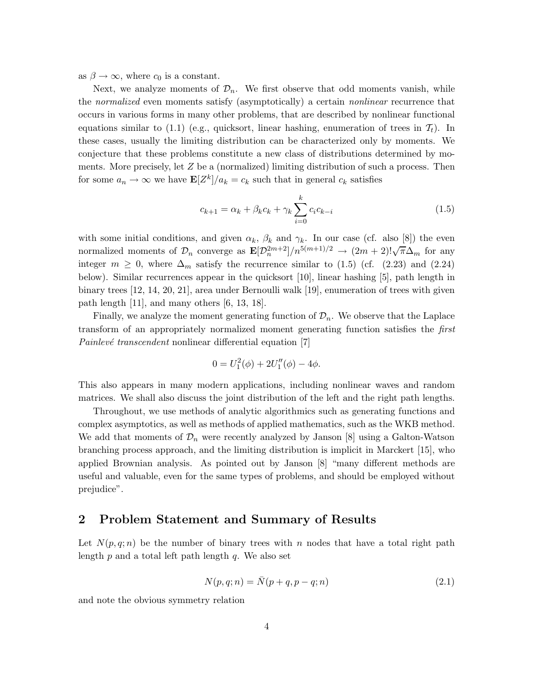as  $\beta \to \infty$ , where  $c_0$  is a constant.

Next, we analyze moments of  $\mathcal{D}_n$ . We first observe that odd moments vanish, while the *normalized* even moments satisfy (asymptotically) a certain *nonlinear* recurrence that occurs in various forms in many other problems, that are described by nonlinear functional equations similar to  $(1.1)$  (e.g., quicksort, linear hashing, enumeration of trees in  $\mathcal{T}_t$ ). In these cases, usually the limiting distribution can be characterized only by moments. We conjecture that these problems constitute a new class of distributions determined by moments. More precisely, let *Z* be a (normalized) limiting distribution of such a process. Then for some  $a_n \to \infty$  we have  $\mathbf{E}[Z^k]/a_k = c_k$  such that in general  $c_k$  satisfies

$$
c_{k+1} = \alpha_k + \beta_k c_k + \gamma_k \sum_{i=0}^k c_i c_{k-i}
$$
 (1.5)

with some initial conditions, and given  $\alpha_k$ ,  $\beta_k$  and  $\gamma_k$ . In our case (cf. also [8]) the even normalized moments of  $\mathcal{D}_n$  converge as  $\mathbf{E}[\mathcal{D}_n^{2m+2}]/n^{5(m+1)/2} \to (2m+2)!\sqrt{\pi}\Delta_m$  for any integer  $m \geq 0$ , where  $\Delta_m$  satisfy the recurrence similar to (1.5) (cf. (2.23) and (2.24) below). Similar recurrences appear in the quicksort [10], linear hashing [5], path length in binary trees [12, 14, 20, 21], area under Bernoulli walk [19], enumeration of trees with given path length [11], and many others [6, 13, 18].

Finally, we analyze the moment generating function of  $\mathcal{D}_n$ . We observe that the Laplace transform of an appropriately normalized moment generating function satisfies the *first Painlevé transcendent* nonlinear differential equation [7]

$$
0 = U_1^2(\phi) + 2U_1''(\phi) - 4\phi.
$$

This also appears in many modern applications, including nonlinear waves and random matrices. We shall also discuss the joint distribution of the left and the right path lengths.

Throughout, we use methods of analytic algorithmics such as generating functions and complex asymptotics, as well as methods of applied mathematics, such as the WKB method. We add that moments of  $\mathcal{D}_n$  were recently analyzed by Janson [8] using a Galton-Watson branching process approach, and the limiting distribution is implicit in Marckert [15], who applied Brownian analysis. As pointed out by Janson [8] "many different methods are useful and valuable, even for the same types of problems, and should be employed without prejudice".

#### **2 Problem Statement and Summary of Results**

Let  $N(p,q;n)$  be the number of binary trees with *n* nodes that have a total right path length *p* and a total left path length *q*. We also set

$$
N(p, q; n) = \bar{N}(p + q, p - q; n)
$$
\n(2.1)

and note the obvious symmetry relation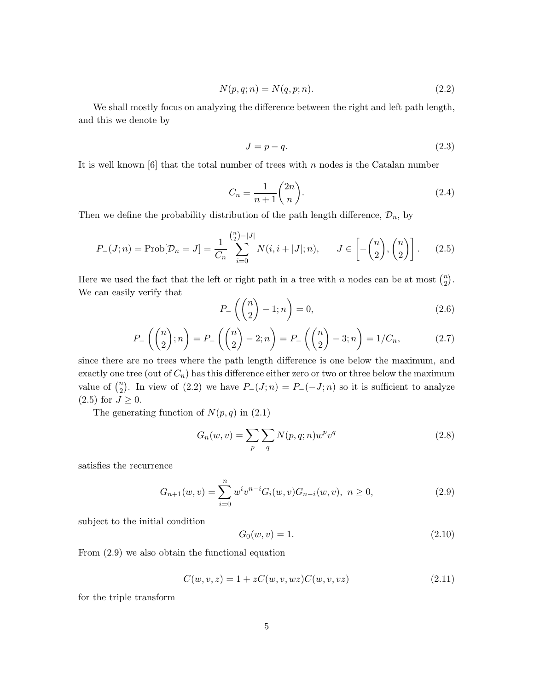$$
N(p,q;n) = N(q,p;n). \tag{2.2}
$$

We shall mostly focus on analyzing the difference between the right and left path length, and this we denote by

$$
J = p - q.\t\t(2.3)
$$

It is well known [6] that the total number of trees with *n* nodes is the Catalan number

$$
C_n = \frac{1}{n+1} \binom{2n}{n}.
$$
\n
$$
(2.4)
$$

Then we define the probability distribution of the path length difference,  $\mathcal{D}_n$ , by

$$
P_{-}(J;n) = \text{Prob}[\mathcal{D}_n = J] = \frac{1}{C_n} \sum_{i=0}^{\binom{n}{2} - |J|} N(i, i + |J|; n), \qquad J \in \left[ -\binom{n}{2}, \binom{n}{2} \right]. \tag{2.5}
$$

Here we used the fact that the left or right path in a tree with *n* nodes can be at most  $\binom{n}{2}$ . We can easily verify that

$$
P_{-}\left(\binom{n}{2} - 1; n\right) = 0,\t\t(2.6)
$$

$$
P_{-}\left(\binom{n}{2};n\right) = P_{-}\left(\binom{n}{2} - 2;n\right) = P_{-}\left(\binom{n}{2} - 3;n\right) = 1/C_n,\tag{2.7}
$$

since there are no trees where the path length difference is one below the maximum, and exactly one tree (out of  $C_n$ ) has this difference either zero or two or three below the maximum value of  $\binom{n}{2}$ . In view of (2.2) we have  $P_-(J; n) = P_-(J; n)$  so it is sufficient to analyze  $(2.5)$  for  $J \geq 0$ .

The generating function of  $N(p, q)$  in  $(2.1)$ 

$$
G_n(w,v) = \sum_p \sum_q N(p,q;n)w^p v^q
$$
\n(2.8)

satisfies the recurrence

$$
G_{n+1}(w,v) = \sum_{i=0}^{n} w^{i} v^{n-i} G_i(w,v) G_{n-i}(w,v), \ n \ge 0,
$$
\n(2.9)

subject to the initial condition

$$
G_0(w, v) = 1. \t\t(2.10)
$$

From (2.9) we also obtain the functional equation

$$
C(w, v, z) = 1 + zC(w, v, wz)C(w, v, vz)
$$
\n(2.11)

for the triple transform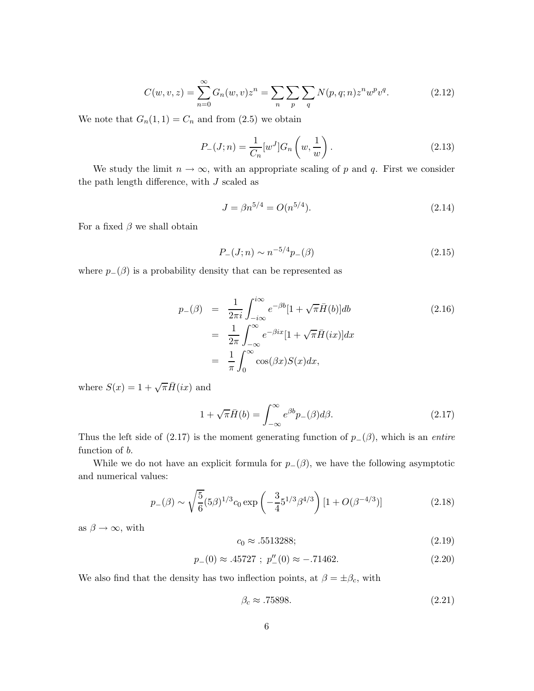$$
C(w, v, z) = \sum_{n=0}^{\infty} G_n(w, v) z^n = \sum_{n} \sum_{p} \sum_{q} N(p, q; n) z^n w^p v^q.
$$
 (2.12)

We note that  $G_n(1,1) = C_n$  and from (2.5) we obtain

$$
P_{-}(J;n) = \frac{1}{C_n} [w^J] G_n \left( w, \frac{1}{w} \right). \tag{2.13}
$$

We study the limit  $n \to \infty$ , with an appropriate scaling of p and q. First we consider the path length difference, with *J* scaled as

$$
J = \beta n^{5/4} = O(n^{5/4}).\tag{2.14}
$$

For a fixed  $\beta$  we shall obtain

$$
P_{-}(J;n) \sim n^{-5/4} p_{-}(\beta) \tag{2.15}
$$

where  $p_-(\beta)$  is a probability density that can be represented as

$$
p_{-}(\beta) = \frac{1}{2\pi i} \int_{-i\infty}^{i\infty} e^{-\beta b} [1 + \sqrt{\pi} \bar{H}(b)] db
$$
  
\n
$$
= \frac{1}{2\pi} \int_{-\infty}^{\infty} e^{-\beta ix} [1 + \sqrt{\pi} \bar{H}(ix)] dx
$$
  
\n
$$
= \frac{1}{\pi} \int_{0}^{\infty} \cos(\beta x) S(x) dx,
$$
\n(2.16)

where  $S(x) = 1 + \sqrt{\pi} \overline{H}(ix)$  and

$$
1 + \sqrt{\pi} \bar{H}(b) = \int_{-\infty}^{\infty} e^{\beta b} p_{-}(\beta) d\beta.
$$
 (2.17)

Thus the left side of  $(2.17)$  is the moment generating function of  $p_-(\beta)$ , which is an *entire* function of *b*.

While we do not have an explicit formula for  $p_-(\beta)$ , we have the following asymptotic and numerical values:

$$
p_{-}(\beta) \sim \sqrt{\frac{5}{6}} (5\beta)^{1/3} c_0 \exp\left(-\frac{3}{4} 5^{1/3} \beta^{4/3}\right) [1 + O(\beta^{-4/3})]
$$
 (2.18)

as  $\beta \to \infty$ , with

$$
c_0 \approx .5513288; \t(2.19)
$$

$$
p_{-}(0) \approx .45727 \; ; \; p_{-}'(0) \approx -.71462. \tag{2.20}
$$

We also find that the density has two inflection points, at  $\beta = \pm \beta_c$ , with

$$
\beta_c \approx .75898. \tag{2.21}
$$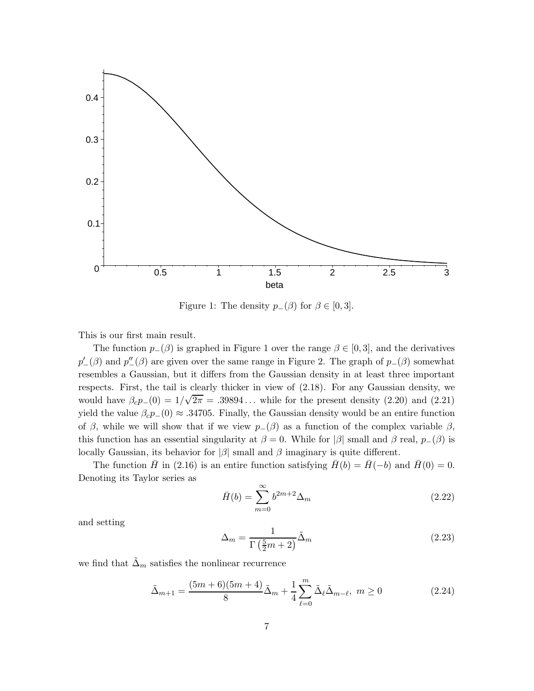

Figure 1: The density  $p_-(\beta)$  for  $\beta \in [0,3]$ .

This is our first main result.

The function  $p_-(\beta)$  is graphed in Figure 1 over the range  $\beta \in [0,3]$ , and the derivatives  $p'_{-}(\beta)$  and  $p''_{-}(\beta)$  are given over the same range in Figure 2. The graph of  $p_{-}(\beta)$  somewhat resembles a Gaussian, but it differs from the Gaussian density in at least three important respects. First, the tail is clearly thicker in view of (2.18). For any Gaussian density, we would have  $\beta_c p_-(0) = 1/\sqrt{2\pi} = .39894...$  while for the present density (2.20) and (2.21) yield the value  $\beta_c p_-(0) \approx .34705$ . Finally, the Gaussian density would be an entire function of  $\beta$ , while we will show that if we view  $p_-(\beta)$  as a function of the complex variable  $\beta$ , this function has an essential singularity at  $\beta = 0$ . While for  $|\beta|$  small and  $\beta$  real,  $p_-(\beta)$  is locally Gaussian, its behavior for  $|\beta|$  small and  $\beta$  imaginary is quite different.

The function  $\bar{H}$  in (2.16) is an entire function satisfying  $\bar{H}(b) = \bar{H}(-b)$  and  $\bar{H}(0) = 0$ . Denoting its Taylor series as

$$
\bar{H}(b) = \sum_{m=0}^{\infty} b^{2m+2} \Delta_m \tag{2.22}
$$

and setting

$$
\Delta_m = \frac{1}{\Gamma(\frac{5}{2}m + 2)} \tilde{\Delta}_m \tag{2.23}
$$

we find that  $\tilde{\Delta}_m$  satisfies the nonlinear recurrence

$$
\tilde{\Delta}_{m+1} = \frac{(5m+6)(5m+4)}{8} \tilde{\Delta}_m + \frac{1}{4} \sum_{\ell=0}^{m} \tilde{\Delta}_{\ell} \tilde{\Delta}_{m-\ell}, \ m \ge 0 \tag{2.24}
$$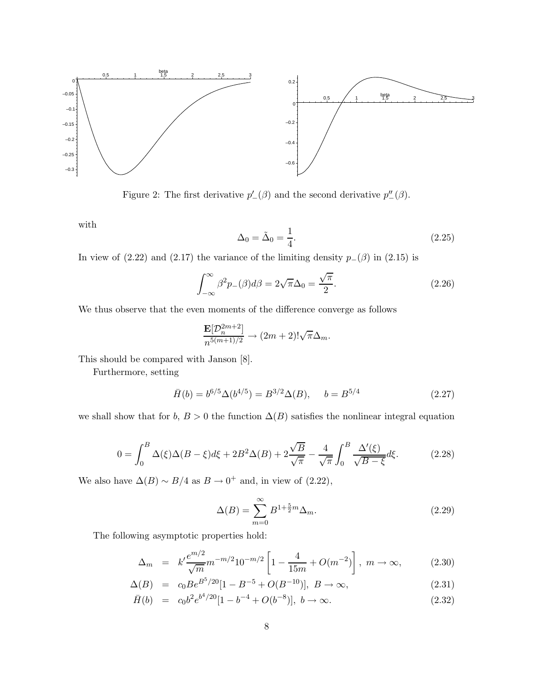

Figure 2: The first derivative  $p'_{-}(\beta)$  and the second derivative  $p''_{-}(\beta)$ .

with

$$
\Delta_0 = \tilde{\Delta}_0 = \frac{1}{4}.\tag{2.25}
$$

In view of (2.22) and (2.17) the variance of the limiting density  $p_-(\beta)$  in (2.15) is

$$
\int_{-\infty}^{\infty} \beta^2 p_{-}(\beta) d\beta = 2\sqrt{\pi} \Delta_0 = \frac{\sqrt{\pi}}{2}.
$$
 (2.26)

We thus observe that the even moments of the difference converge as follows

$$
\frac{\mathbf{E}[\mathcal{D}_{n}^{2m+2}]}{n^{5(m+1)/2}}\rightarrow (2m+2)!\sqrt{\pi}\Delta_{m}.
$$

This should be compared with Janson [8].

Furthermore, setting

$$
\bar{H}(b) = b^{6/5} \Delta(b^{4/5}) = B^{3/2} \Delta(B), \quad b = B^{5/4}
$$
 (2.27)

we shall show that for *b*,  $B > 0$  the function  $\Delta(B)$  satisfies the nonlinear integral equation

$$
0 = \int_0^B \Delta(\xi) \Delta(B - \xi) d\xi + 2B^2 \Delta(B) + 2\frac{\sqrt{B}}{\sqrt{\pi}} - \frac{4}{\sqrt{\pi}} \int_0^B \frac{\Delta'(\xi)}{\sqrt{B - \xi}} d\xi.
$$
 (2.28)

We also have  $\Delta(B) \sim B/4$  as  $B \to 0^+$  and, in view of (2.22),

$$
\Delta(B) = \sum_{m=0}^{\infty} B^{1 + \frac{5}{2}m} \Delta_m.
$$
\n(2.29)

The following asymptotic properties hold:

$$
\Delta_m = k' \frac{e^{m/2}}{\sqrt{m}} m^{-m/2} 10^{-m/2} \left[ 1 - \frac{4}{15m} + O(m^{-2}) \right], \ m \to \infty,
$$
 (2.30)

$$
\Delta(B) = c_0 B e^{B^5/20} [1 - B^{-5} + O(B^{-10})], \ B \to \infty,
$$
\n(2.31)

$$
\bar{H}(b) = c_0 b^2 e^{b^4/20} [1 - b^{-4} + O(b^{-8})], \ b \to \infty.
$$
\n(2.32)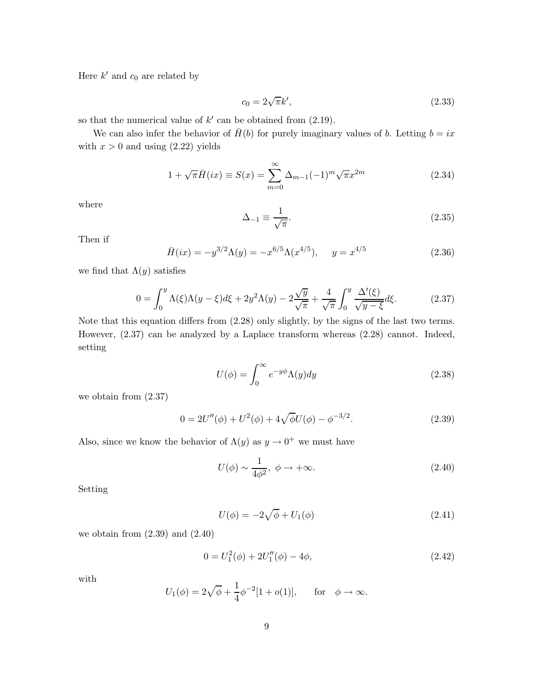Here  $k'$  and  $c_0$  are related by

$$
c_0 = 2\sqrt{\pi}k',\tag{2.33}
$$

so that the numerical value of  $k'$  can be obtained from  $(2.19)$ .

We can also infer the behavior of  $\bar{H}(b)$  for purely imaginary values of *b*. Letting  $b = ix$ with  $x > 0$  and using  $(2.22)$  yields

$$
1 + \sqrt{\pi} \bar{H}(ix) \equiv S(x) = \sum_{m=0}^{\infty} \Delta_{m-1} (-1)^m \sqrt{\pi} x^{2m}
$$
 (2.34)

where

$$
\Delta_{-1} \equiv \frac{1}{\sqrt{\pi}}.\tag{2.35}
$$

Then if

$$
\bar{H}(ix) = -y^{3/2}\Lambda(y) = -x^{6/5}\Lambda(x^{4/5}), \quad y = x^{4/5}
$$
\n(2.36)

we find that  $\Lambda(y)$  satisfies

$$
0 = \int_0^y \Lambda(\xi)\Lambda(y-\xi)d\xi + 2y^2\Lambda(y) - 2\frac{\sqrt{y}}{\sqrt{\pi}} + \frac{4}{\sqrt{\pi}}\int_0^y \frac{\Delta'(\xi)}{\sqrt{y-\xi}}d\xi.
$$
 (2.37)

Note that this equation differs from (2.28) only slightly, by the signs of the last two terms. However, (2.37) can be analyzed by a Laplace transform whereas (2.28) cannot. Indeed, setting

$$
U(\phi) = \int_0^\infty e^{-y\phi} \Lambda(y) dy \tag{2.38}
$$

we obtain from (2.37)

$$
0 = 2U''(\phi) + U^2(\phi) + 4\sqrt{\phi}U(\phi) - \phi^{-3/2}.
$$
\n(2.39)

Also, since we know the behavior of  $\Lambda(y)$  as  $y \to 0^+$  we must have

$$
U(\phi) \sim \frac{1}{4\phi^2}, \ \phi \to +\infty. \tag{2.40}
$$

Setting

$$
U(\phi) = -2\sqrt{\phi} + U_1(\phi)
$$
 (2.41)

we obtain from  $(2.39)$  and  $(2.40)$ 

$$
0 = U_1^2(\phi) + 2U_1''(\phi) - 4\phi,
$$
\n(2.42)

with

$$
U_1(\phi) = 2\sqrt{\phi} + \frac{1}{4}\phi^{-2}[1 + o(1)], \quad \text{for} \quad \phi \to \infty.
$$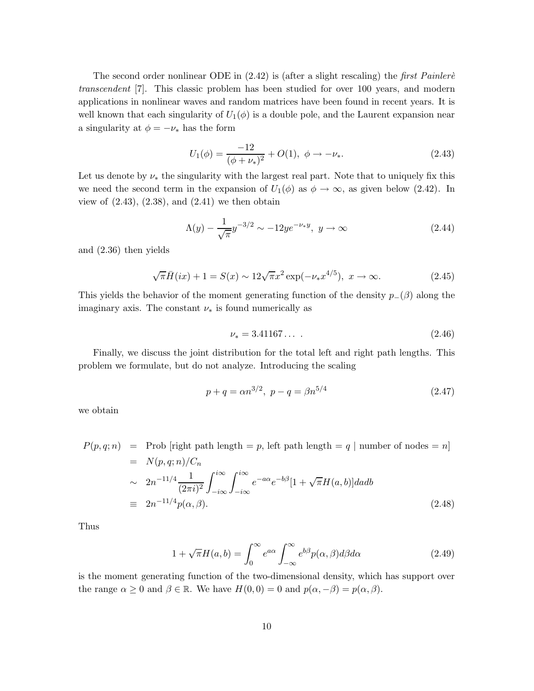The second order nonlinear ODE in  $(2.42)$  is (after a slight rescaling) the *first Painler transcendent* [7]. This classic problem has been studied for over 100 years, and modern applications in nonlinear waves and random matrices have been found in recent years. It is well known that each singularity of  $U_1(\phi)$  is a double pole, and the Laurent expansion near a singularity at  $\phi = -\nu_*$  has the form

$$
U_1(\phi) = \frac{-12}{(\phi + \nu_*)^2} + O(1), \ \phi \to -\nu_*.
$$
 (2.43)

Let us denote by  $\nu_*$  the singularity with the largest real part. Note that to uniquely fix this we need the second term in the expansion of  $U_1(\phi)$  as  $\phi \to \infty$ , as given below (2.42). In view of  $(2.43)$ ,  $(2.38)$ , and  $(2.41)$  we then obtain

$$
\Lambda(y) - \frac{1}{\sqrt{\pi}} y^{-3/2} \sim -12 y e^{-\nu_* y}, \ y \to \infty \tag{2.44}
$$

and (2.36) then yields

$$
\sqrt{\pi}\bar{H}(ix) + 1 = S(x) \sim 12\sqrt{\pi}x^2 \exp(-\nu_* x^{4/5}), \ x \to \infty.
$$
 (2.45)

This yields the behavior of the moment generating function of the density *p*−(*β*) along the imaginary axis. The constant *ν*<sup>∗</sup> is found numerically as

$$
\nu_* = 3.41167\dots \tag{2.46}
$$

Finally, we discuss the joint distribution for the total left and right path lengths. This problem we formulate, but do not analyze. Introducing the scaling

$$
p + q = \alpha n^{3/2}, \ p - q = \beta n^{5/4} \tag{2.47}
$$

we obtain

$$
P(p,q;n) = \text{Prob [right path length} = p, \text{ left path length} = q \mid \text{number of nodes} = n]
$$
  
=  $N(p,q;n)/C_n$   
 $\sim 2n^{-11/4} \frac{1}{(2\pi i)^2} \int_{-i\infty}^{i\infty} \int_{-i\infty}^{i\infty} e^{-a\alpha} e^{-b\beta} [1 + \sqrt{\pi} H(a,b)] da db$   
 $\equiv 2n^{-11/4} p(\alpha, \beta).$  (2.48)

Thus

$$
1 + \sqrt{\pi}H(a, b) = \int_0^\infty e^{a\alpha} \int_{-\infty}^\infty e^{b\beta} p(\alpha, \beta) d\beta d\alpha \qquad (2.49)
$$

is the moment generating function of the two-dimensional density, which has support over the range  $\alpha \geq 0$  and  $\beta \in \mathbb{R}$ . We have  $H(0,0) = 0$  and  $p(\alpha, -\beta) = p(\alpha, \beta)$ .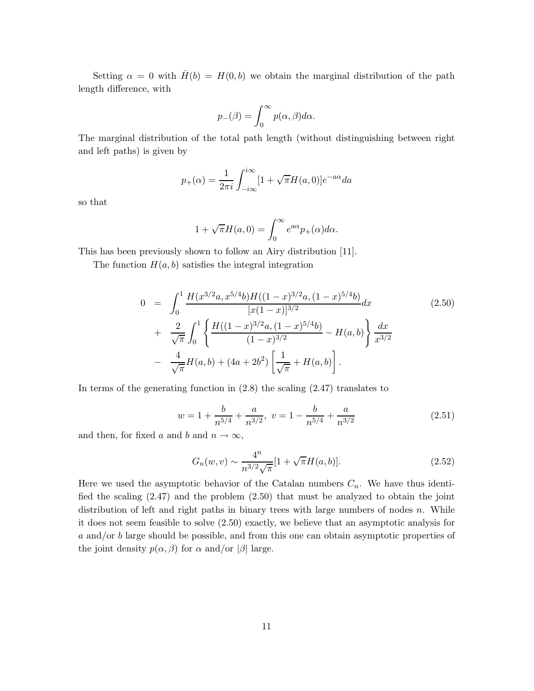Setting  $\alpha = 0$  with  $\bar{H}(b) = H(0, b)$  we obtain the marginal distribution of the path length difference, with

$$
p_{-}(\beta) = \int_0^{\infty} p(\alpha, \beta) d\alpha.
$$

The marginal distribution of the total path length (without distinguishing between right and left paths) is given by

$$
p_{+}(\alpha) = \frac{1}{2\pi i} \int_{-i\infty}^{i\infty} [1 + \sqrt{\pi} H(a, 0)] e^{-a\alpha} da
$$

so that

$$
1 + \sqrt{\pi}H(a,0) = \int_0^\infty e^{a\alpha} p_+(\alpha)d\alpha.
$$

This has been previously shown to follow an Airy distribution [11].

The function  $H(a, b)$  satisfies the integral integration

$$
0 = \int_0^1 \frac{H(x^{3/2}a, x^{5/4}b)H((1-x)^{3/2}a, (1-x)^{5/4}b)}{[x(1-x)]^{3/2}} dx
$$
\n
$$
+ \frac{2}{\sqrt{\pi}} \int_0^1 \left\{ \frac{H((1-x)^{3/2}a, (1-x)^{5/4}b)}{(1-x)^{3/2}} - H(a, b) \right\} \frac{dx}{x^{3/2}}
$$
\n
$$
- \frac{4}{\sqrt{\pi}} H(a, b) + (4a + 2b^2) \left[ \frac{1}{\sqrt{\pi}} + H(a, b) \right].
$$
\n(2.50)

In terms of the generating function in  $(2.8)$  the scaling  $(2.47)$  translates to

$$
w = 1 + \frac{b}{n^{5/4}} + \frac{a}{n^{3/2}}, \ v = 1 - \frac{b}{n^{5/4}} + \frac{a}{n^{3/2}}
$$
 (2.51)

and then, for fixed *a* and *b* and  $n \to \infty$ ,

$$
G_n(w, v) \sim \frac{4^n}{n^{3/2}\sqrt{\pi}} [1 + \sqrt{\pi}H(a, b)].
$$
\n(2.52)

Here we used the asymptotic behavior of the Catalan numbers  $C_n$ . We have thus identified the scaling (2.47) and the problem (2.50) that must be analyzed to obtain the joint distribution of left and right paths in binary trees with large numbers of nodes *n*. While it does not seem feasible to solve (2.50) exactly, we believe that an asymptotic analysis for *a* and/or *b* large should be possible, and from this one can obtain asymptotic properties of the joint density  $p(\alpha, \beta)$  for  $\alpha$  and/or  $|\beta|$  large.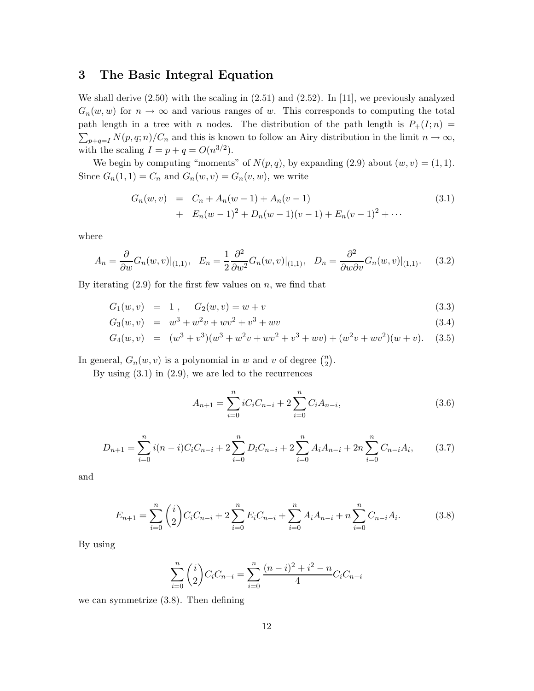### **3 The Basic Integral Equation**

We shall derive (2.50) with the scaling in (2.51) and (2.52). In [11], we previously analyzed  $G_n(w, w)$  for  $n \to \infty$  and various ranges of *w*. This corresponds to computing the total path length in a tree with *n* nodes. The distribution of the path length is  $P_+(I; n) =$  $\sum_{p+q=I} N(p,q;n)/C_n$  and this is known to follow an Airy distribution in the limit  $n \to \infty$ , with the scaling  $I = p + q = O(n^{3/2})$ .

We begin by computing "moments" of  $N(p, q)$ , by expanding (2.9) about  $(w, v) = (1, 1)$ . Since  $G_n(1, 1) = C_n$  and  $G_n(w, v) = G_n(v, w)$ , we write

$$
G_n(w, v) = C_n + A_n(w - 1) + A_n(v - 1)
$$
  
+ 
$$
E_n(w - 1)^2 + D_n(w - 1)(v - 1) + E_n(v - 1)^2 + \cdots
$$
 (3.1)

where

$$
A_n = \frac{\partial}{\partial w} G_n(w, v)|_{(1,1)}, \quad E_n = \frac{1}{2} \frac{\partial^2}{\partial w^2} G_n(w, v)|_{(1,1)}, \quad D_n = \frac{\partial^2}{\partial w \partial v} G_n(w, v)|_{(1,1)}.
$$
 (3.2)

By iterating (2.9) for the first few values on *n*, we find that

$$
G_1(w, v) = 1, \quad G_2(w, v) = w + v \tag{3.3}
$$

$$
G_3(w, v) = w^3 + w^2v + wv^2 + v^3 + wv \tag{3.4}
$$

$$
G_4(w,v) = (w^3 + v^3)(w^3 + w^2v + wv^2 + v^3 + wv) + (w^2v + wv^2)(w+v). \quad (3.5)
$$

In general,  $G_n(w, v)$  is a polynomial in *w* and *v* of degree  $\binom{n}{2}$ .

By using  $(3.1)$  in  $(2.9)$ , we are led to the recurrences

$$
A_{n+1} = \sum_{i=0}^{n} iC_i C_{n-i} + 2\sum_{i=0}^{n} C_i A_{n-i},
$$
\n(3.6)

$$
D_{n+1} = \sum_{i=0}^{n} i(n-i)C_iC_{n-i} + 2\sum_{i=0}^{n} D_iC_{n-i} + 2\sum_{i=0}^{n} A_iA_{n-i} + 2n\sum_{i=0}^{n} C_{n-i}A_i, \qquad (3.7)
$$

and

$$
E_{n+1} = \sum_{i=0}^{n} {i \choose 2} C_i C_{n-i} + 2 \sum_{i=0}^{n} E_i C_{n-i} + \sum_{i=0}^{n} A_i A_{n-i} + n \sum_{i=0}^{n} C_{n-i} A_i.
$$
 (3.8)

By using

$$
\sum_{i=0}^{n} {i \choose 2} C_i C_{n-i} = \sum_{i=0}^{n} \frac{(n-i)^2 + i^2 - n}{4} C_i C_{n-i}
$$

we can symmetrize (3.8). Then defining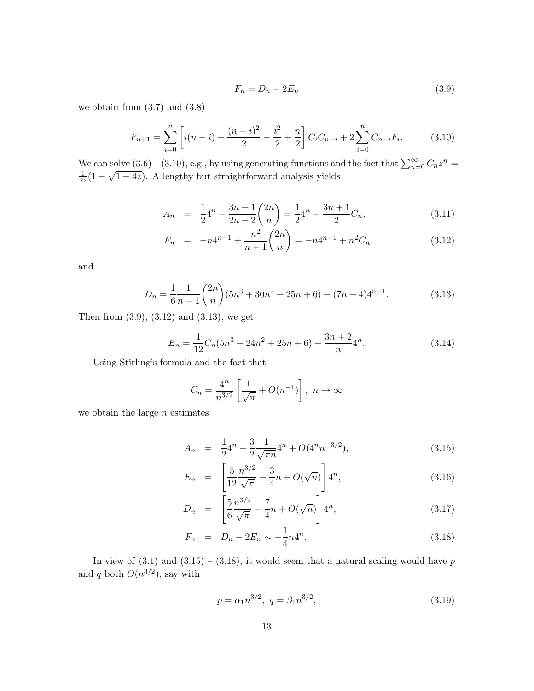$$
F_n = D_n - 2E_n \tag{3.9}
$$

we obtain from  $(3.7)$  and  $(3.8)$ 

$$
F_{n+1} = \sum_{i=0}^{n} \left[ i(n-i) - \frac{(n-i)^2}{2} - \frac{i^2}{2} + \frac{n}{2} \right] C_i C_{n-i} + 2 \sum_{i=0}^{n} C_{n-i} F_i.
$$
 (3.10)

We can solve  $(3.6) - (3.10)$ , e.g., by using generating functions and the fact that  $\sum_{n=0}^{\infty} C_n z^n = \frac{1}{1 - \sqrt{1 - 4z}}$ .  $\frac{1}{2z}(1-\sqrt{1-4z})$ . A lengthy but straightforward analysis yields

$$
A_n = \frac{1}{2}4^n - \frac{3n+1}{2n+2} \binom{2n}{n} = \frac{1}{2}4^n - \frac{3n+1}{2}C_n,
$$
\n(3.11)

$$
F_n = -n4^{n-1} + \frac{n^2}{n+1} \binom{2n}{n} = -n4^{n-1} + n^2 C_n \tag{3.12}
$$

and

$$
D_n = \frac{1}{6} \frac{1}{n+1} {2n \choose n} (5n^3 + 30n^2 + 25n + 6) - (7n+4)4^{n-1}.
$$
 (3.13)

Then from (3.9), (3.12) and (3.13), we get

$$
E_n = \frac{1}{12}C_n(5n^3 + 24n^2 + 25n + 6) - \frac{3n+2}{n}4^n.
$$
 (3.14)

Using Stirling's formula and the fact that

$$
C_n = \frac{4^n}{n^{3/2}} \left[ \frac{1}{\sqrt{\pi}} + O(n^{-1}) \right], \ n \to \infty
$$

we obtain the large *n* estimates

$$
A_n = \frac{1}{2}4^n - \frac{3}{2}\frac{1}{\sqrt{\pi n}}4^n + O(4^n n^{-3/2}), \qquad (3.15)
$$

$$
E_n = \left[\frac{5}{12} \frac{n^{3/2}}{\sqrt{\pi}} - \frac{3}{4}n + O(\sqrt{n})\right] 4^n, \tag{3.16}
$$

$$
D_n = \left[\frac{5}{6} \frac{n^{3/2}}{\sqrt{\pi}} - \frac{7}{4}n + O(\sqrt{n})\right] 4^n, \tag{3.17}
$$

$$
F_n = D_n - 2E_n \sim -\frac{1}{4} n 4^n. \tag{3.18}
$$

In view of  $(3.1)$  and  $(3.15) - (3.18)$ , it would seem that a natural scaling would have *p* and *q* both  $O(n^{3/2})$ , say with

$$
p = \alpha_1 n^{3/2}, \ q = \beta_1 n^{3/2}, \tag{3.19}
$$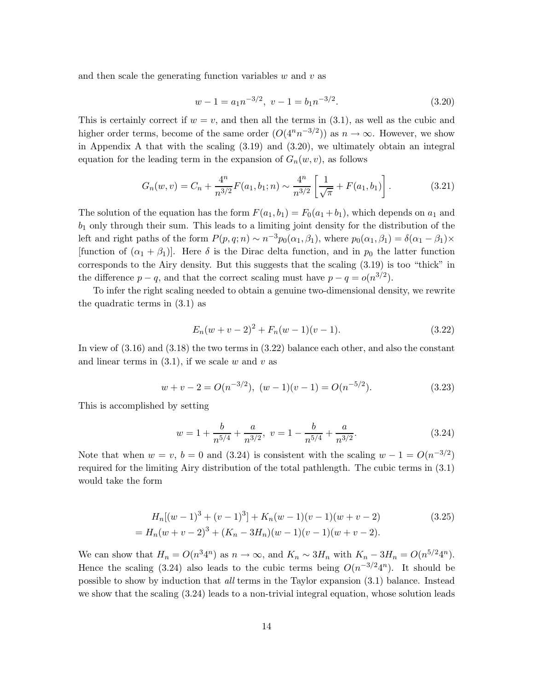and then scale the generating function variables *w* and *v* as

$$
w - 1 = a_1 n^{-3/2}, \ v - 1 = b_1 n^{-3/2}.
$$
\n(3.20)

This is certainly correct if  $w = v$ , and then all the terms in (3.1), as well as the cubic and higher order terms, become of the same order  $(O(4^n n^{-3/2}))$  as  $n \to \infty$ . However, we show in Appendix A that with the scaling (3.19) and (3.20), we ultimately obtain an integral equation for the leading term in the expansion of  $G_n(w, v)$ , as follows

$$
G_n(w,v) = C_n + \frac{4^n}{n^{3/2}} F(a_1, b_1; n) \sim \frac{4^n}{n^{3/2}} \left[ \frac{1}{\sqrt{\pi}} + F(a_1, b_1) \right].
$$
 (3.21)

The solution of the equation has the form  $F(a_1, b_1) = F_0(a_1 + b_1)$ , which depends on  $a_1$  and *b*<sup>1</sup> only through their sum. This leads to a limiting joint density for the distribution of the left and right paths of the form  $P(p,q;n) \sim n^{-3}p_0(\alpha_1,\beta_1)$ , where  $p_0(\alpha_1,\beta_1) = \delta(\alpha_1 - \beta_1) \times$ [function of  $(\alpha_1 + \beta_1)$ ]. Here  $\delta$  is the Dirac delta function, and in  $p_0$  the latter function corresponds to the Airy density. But this suggests that the scaling (3.19) is too "thick" in the difference  $p - q$ , and that the correct scaling must have  $p - q = o(n^{3/2})$ .

To infer the right scaling needed to obtain a genuine two-dimensional density, we rewrite the quadratic terms in (3.1) as

$$
E_n(w+v-2)^2 + F_n(w-1)(v-1). \tag{3.22}
$$

In view of (3.16) and (3.18) the two terms in (3.22) balance each other, and also the constant and linear terms in  $(3.1)$ , if we scale  $w$  and  $v$  as

$$
w + v - 2 = O(n^{-3/2}), \ (w - 1)(v - 1) = O(n^{-5/2}). \tag{3.23}
$$

This is accomplished by setting

$$
w = 1 + \frac{b}{n^{5/4}} + \frac{a}{n^{3/2}}, \ v = 1 - \frac{b}{n^{5/4}} + \frac{a}{n^{3/2}}.
$$
 (3.24)

Note that when  $w = v$ ,  $b = 0$  and (3.24) is consistent with the scaling  $w - 1 = O(n^{-3/2})$ required for the limiting Airy distribution of the total pathlength. The cubic terms in (3.1) would take the form

$$
H_n[(w-1)^3 + (v-1)^3] + K_n(w-1)(v-1)(w+v-2)
$$
\n
$$
= H_n(w+v-2)^3 + (K_n - 3H_n)(w-1)(v-1)(w+v-2).
$$
\n(3.25)

We can show that  $H_n = O(n^3 4^n)$  as  $n \to \infty$ , and  $K_n \sim 3H_n$  with  $K_n - 3H_n = O(n^{5/2} 4^n)$ . Hence the scaling (3.24) also leads to the cubic terms being  $O(n^{-3/2}4^n)$ . It should be possible to show by induction that *all* terms in the Taylor expansion (3.1) balance. Instead we show that the scaling (3.24) leads to a non-trivial integral equation, whose solution leads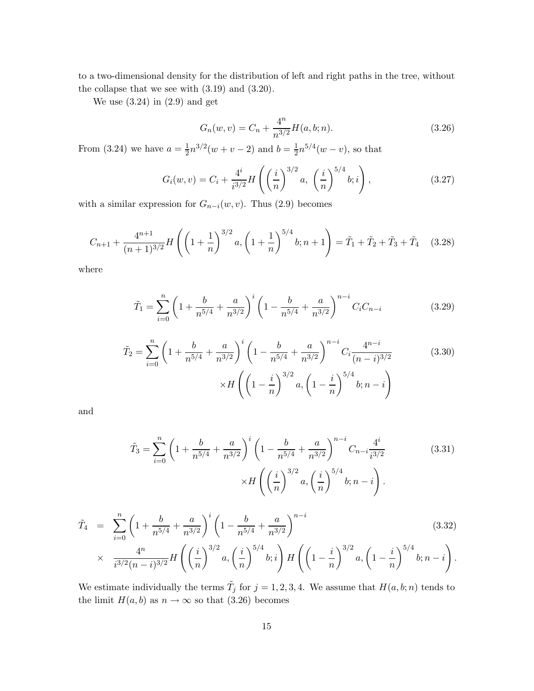to a two-dimensional density for the distribution of left and right paths in the tree, without the collapse that we see with (3.19) and (3.20).

We use  $(3.24)$  in  $(2.9)$  and get

$$
G_n(w, v) = C_n + \frac{4^n}{n^{3/2}} H(a, b; n).
$$
\n(3.26)

From (3.24) we have  $a = \frac{1}{2}n^{3/2}(w+v-2)$  and  $b = \frac{1}{2}n^{5/4}(w-v)$ , so that

$$
G_i(w, v) = C_i + \frac{4^i}{i^{3/2}} H\left(\left(\frac{i}{n}\right)^{3/2} a, \left(\frac{i}{n}\right)^{5/4} b; i\right),\tag{3.27}
$$

with a similar expression for  $G_{n-i}(w, v)$ . Thus (2.9) becomes

$$
C_{n+1} + \frac{4^{n+1}}{(n+1)^{3/2}} H\left(\left(1+\frac{1}{n}\right)^{3/2} a, \left(1+\frac{1}{n}\right)^{5/4} b; n+1\right) = \tilde{T}_1 + \tilde{T}_2 + \tilde{T}_3 + \tilde{T}_4 \quad (3.28)
$$

where

$$
\tilde{T}_1 = \sum_{i=0}^n \left( 1 + \frac{b}{n^{5/4}} + \frac{a}{n^{3/2}} \right)^i \left( 1 - \frac{b}{n^{5/4}} + \frac{a}{n^{3/2}} \right)^{n-i} C_i C_{n-i}
$$
\n(3.29)

$$
\tilde{T}_2 = \sum_{i=0}^n \left( 1 + \frac{b}{n^{5/4}} + \frac{a}{n^{3/2}} \right)^i \left( 1 - \frac{b}{n^{5/4}} + \frac{a}{n^{3/2}} \right)^{n-i} C_i \frac{4^{n-i}}{(n-i)^{3/2}} \qquad (3.30)
$$
\n
$$
\times H \left( \left( 1 - \frac{i}{n} \right)^{3/2} a, \left( 1 - \frac{i}{n} \right)^{5/4} b; n-i \right)
$$

and

$$
\tilde{T}_3 = \sum_{i=0}^n \left( 1 + \frac{b}{n^{5/4}} + \frac{a}{n^{3/2}} \right)^i \left( 1 - \frac{b}{n^{5/4}} + \frac{a}{n^{3/2}} \right)^{n-i} C_{n-i} \frac{4^i}{i^{3/2}} \qquad (3.31)
$$
\n
$$
\times H\left( \left(\frac{i}{n}\right)^{3/2} a, \left(\frac{i}{n}\right)^{5/4} b; n-i \right).
$$

$$
\tilde{T}_4 = \sum_{i=0}^n \left( 1 + \frac{b}{n^{5/4}} + \frac{a}{n^{3/2}} \right)^i \left( 1 - \frac{b}{n^{5/4}} + \frac{a}{n^{3/2}} \right)^{n-i} \times \frac{4^n}{i^{3/2} (n-i)^{3/2}} H\left( \left( \frac{i}{n} \right)^{3/2} a, \left( \frac{i}{n} \right)^{5/4} b; i \right) H\left( \left( 1 - \frac{i}{n} \right)^{3/2} a, \left( 1 - \frac{i}{n} \right)^{5/4} b; n-i \right).
$$
\n(3.32)

We estimate individually the terms  $\tilde{T}_j$  for  $j = 1, 2, 3, 4$ . We assume that  $H(a, b; n)$  tends to the limit  $H(a, b)$  as  $n \to \infty$  so that (3.26) becomes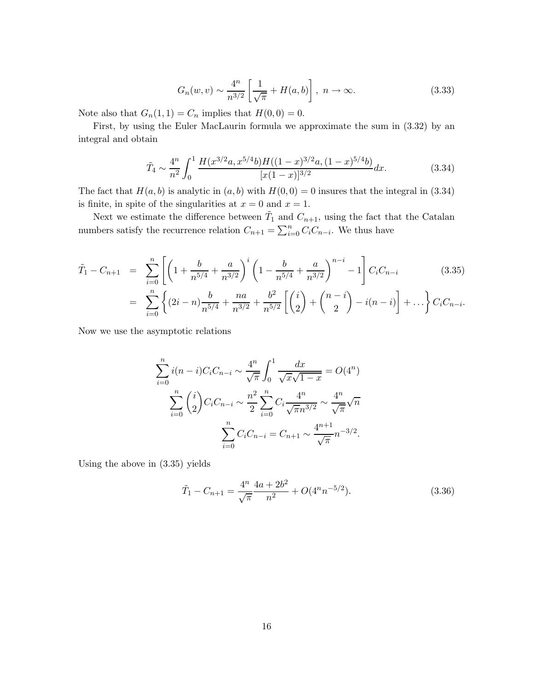$$
G_n(w,v) \sim \frac{4^n}{n^{3/2}} \left[ \frac{1}{\sqrt{\pi}} + H(a,b) \right], \ n \to \infty.
$$
 (3.33)

Note also that  $G_n(1,1) = C_n$  implies that  $H(0,0) = 0$ .

First, by using the Euler MacLaurin formula we approximate the sum in (3.32) by an integral and obtain

$$
\tilde{T}_4 \sim \frac{4^n}{n^2} \int_0^1 \frac{H(x^{3/2}a, x^{5/4}b)H((1-x)^{3/2}a, (1-x)^{5/4}b)}{[x(1-x)]^{3/2}} dx.
$$
\n(3.34)

The fact that  $H(a, b)$  is analytic in  $(a, b)$  with  $H(0, 0) = 0$  insures that the integral in (3.34) is finite, in spite of the singularities at  $x = 0$  and  $x = 1$ .

Next we estimate the difference between  $\tilde{T}_1$  and  $C_{n+1}$ , using the fact that the Catalan numbers satisfy the recurrence relation  $C_{n+1} = \sum_{i=0}^{n} C_i C_{n-i}$ . We thus have

$$
\tilde{T}_1 - C_{n+1} = \sum_{i=0}^n \left[ \left( 1 + \frac{b}{n^{5/4}} + \frac{a}{n^{3/2}} \right)^i \left( 1 - \frac{b}{n^{5/4}} + \frac{a}{n^{3/2}} \right)^{n-i} - 1 \right] C_i C_{n-i} \tag{3.35}
$$
\n
$$
= \sum_{i=0}^n \left\{ (2i - n) \frac{b}{n^{5/4}} + \frac{na}{n^{3/2}} + \frac{b^2}{n^{5/2}} \left[ \binom{i}{2} + \binom{n-i}{2} - i(n-i) \right] + \dots \right\} C_i C_{n-i}.
$$

Now we use the asymptotic relations

$$
\sum_{i=0}^{n} i(n-i)C_i C_{n-i} \sim \frac{4^n}{\sqrt{\pi}} \int_0^1 \frac{dx}{\sqrt{x}\sqrt{1-x}} = O(4^n)
$$

$$
\sum_{i=0}^{n} {i \choose 2} C_i C_{n-i} \sim \frac{n^2}{2} \sum_{i=0}^{n} C_i \frac{4^n}{\sqrt{\pi} n^{3/2}} \sim \frac{4^n}{\sqrt{\pi}} \sqrt{n}
$$

$$
\sum_{i=0}^{n} C_i C_{n-i} = C_{n+1} \sim \frac{4^{n+1}}{\sqrt{\pi}} n^{-3/2}.
$$

Using the above in (3.35) yields

$$
\tilde{T}_1 - C_{n+1} = \frac{4^n}{\sqrt{\pi}} \frac{4a + 2b^2}{n^2} + O(4^n n^{-5/2}).
$$
\n(3.36)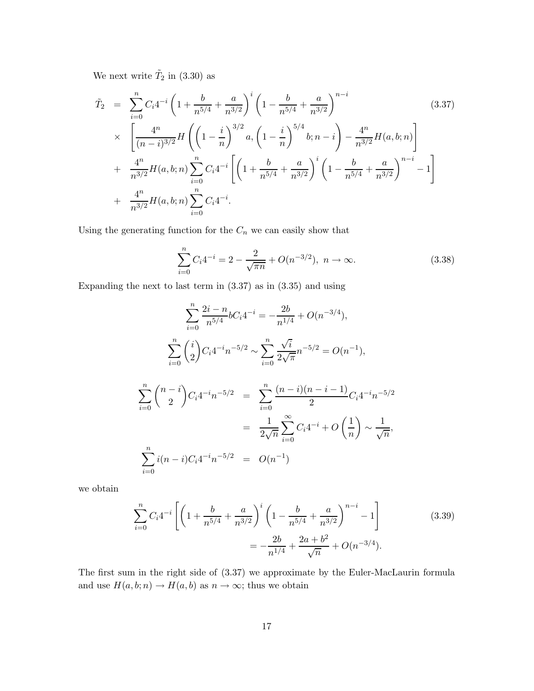We next write  $\tilde{T}_2$  in (3.30) as

$$
\tilde{T}_2 = \sum_{i=0}^n C_i 4^{-i} \left( 1 + \frac{b}{n^{5/4}} + \frac{a}{n^{3/2}} \right)^i \left( 1 - \frac{b}{n^{5/4}} + \frac{a}{n^{3/2}} \right)^{n-i} \times \left[ \frac{4^n}{(n-i)^{3/2}} H \left( \left( 1 - \frac{i}{n} \right)^{3/2} a, \left( 1 - \frac{i}{n} \right)^{5/4} b; n - i \right) - \frac{4^n}{n^{3/2}} H(a, b; n) \right] + \frac{4^n}{n^{3/2}} H(a, b; n) \sum_{i=0}^n C_i 4^{-i} \left[ \left( 1 + \frac{b}{n^{5/4}} + \frac{a}{n^{3/2}} \right)^i \left( 1 - \frac{b}{n^{5/4}} + \frac{a}{n^{3/2}} \right)^{n-i} - 1 \right] + \frac{4^n}{n^{3/2}} H(a, b; n) \sum_{i=0}^n C_i 4^{-i}.
$$
\n(3.37)

Using the generating function for the  ${\cal C}_n$  we can easily show that

$$
\sum_{i=0}^{n} C_i 4^{-i} = 2 - \frac{2}{\sqrt{\pi n}} + O(n^{-3/2}), \ n \to \infty.
$$
 (3.38)

Expanding the next to last term in (3.37) as in (3.35) and using

$$
\sum_{i=0}^{n} \frac{2i - n}{n^{5/4}} bC_i 4^{-i} = -\frac{2b}{n^{1/4}} + O(n^{-3/4}),
$$
  

$$
\sum_{i=0}^{n} {i \choose 2} C_i 4^{-i} n^{-5/2} \sim \sum_{i=0}^{n} \frac{\sqrt{i}}{2\sqrt{\pi}} n^{-5/2} = O(n^{-1}),
$$
  

$$
\sum_{i=0}^{n} {n-i \choose 2} C_i 4^{-i} n^{-5/2} = \sum_{i=0}^{n} \frac{(n-i)(n-i-1)}{2} C_i 4^{-i} n^{-5/2}
$$
  

$$
= \frac{1}{2\sqrt{n}} \sum_{i=0}^{\infty} C_i 4^{-i} + O\left(\frac{1}{n}\right) \sim \frac{1}{\sqrt{n}},
$$
  

$$
\sum_{i=0}^{n} i(n-i) C_i 4^{-i} n^{-5/2} = O(n^{-1})
$$

we obtain

$$
\sum_{i=0}^{n} C_i 4^{-i} \left[ \left( 1 + \frac{b}{n^{5/4}} + \frac{a}{n^{3/2}} \right)^i \left( 1 - \frac{b}{n^{5/4}} + \frac{a}{n^{3/2}} \right)^{n-i} - 1 \right] \tag{3.39}
$$

$$
= -\frac{2b}{n^{1/4}} + \frac{2a + b^2}{\sqrt{n}} + O(n^{-3/4}).
$$

The first sum in the right side of (3.37) we approximate by the Euler-MacLaurin formula and use  $H(a, b; n) \to H(a, b)$  as  $n \to \infty$ ; thus we obtain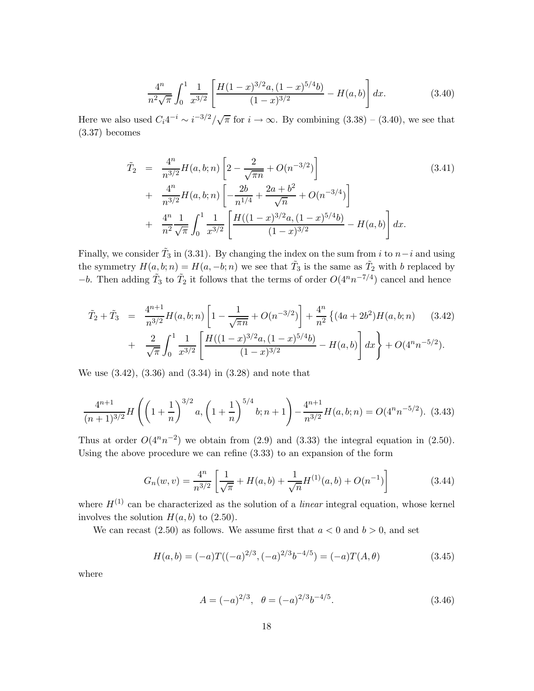$$
\frac{4^n}{n^2\sqrt{\pi}} \int_0^1 \frac{1}{x^{3/2}} \left[ \frac{H(1-x)^{3/2} a, (1-x)^{5/4} b}{(1-x)^{3/2}} - H(a, b) \right] dx.
$$
 (3.40)

Here we also used  $C_i 4^{-i} \sim i^{-3/2}/\sqrt{\pi}$  for  $i \to \infty$ . By combining  $(3.38) - (3.40)$ , we see that (3.37) becomes

$$
\tilde{T}_2 = \frac{4^n}{n^{3/2}} H(a, b; n) \left[ 2 - \frac{2}{\sqrt{\pi n}} + O(n^{-3/2}) \right] \n+ \frac{4^n}{n^{3/2}} H(a, b; n) \left[ -\frac{2b}{n^{1/4}} + \frac{2a + b^2}{\sqrt{n}} + O(n^{-3/4}) \right] \n+ \frac{4^n}{n^2} \frac{1}{\sqrt{\pi}} \int_0^1 \frac{1}{x^{3/2}} \left[ \frac{H((1-x)^{3/2}a, (1-x)^{5/4}b)}{(1-x)^{3/2}} - H(a, b) \right] dx.
$$
\n(3.41)

Finally, we consider  $\tilde{T}_3$  in (3.31). By changing the index on the sum from *i* to *n*−*i* and using the symmetry  $H(a, b; n) = H(a, -b; n)$  we see that  $\tilde{T}_3$  is the same as  $\tilde{T}_2$  with *b* replaced by *−b*. Then adding  $\tilde{T}_3$  to  $\tilde{T}_2$  it follows that the terms of order  $O(4^n n^{-7/4})$  cancel and hence

$$
\tilde{T}_2 + \tilde{T}_3 = \frac{4^{n+1}}{n^{3/2}} H(a, b; n) \left[ 1 - \frac{1}{\sqrt{\pi n}} + O(n^{-3/2}) \right] + \frac{4^n}{n^2} \left\{ (4a + 2b^2) H(a, b; n) \right\} \tag{3.42}
$$
\n
$$
+ \frac{2}{\sqrt{\pi}} \int_0^1 \frac{1}{x^{3/2}} \left[ \frac{H((1-x)^{3/2}a, (1-x)^{5/4}b)}{(1-x)^{3/2}} - H(a, b) \right] dx \bigg\} + O(4^n n^{-5/2}).
$$

We use (3.42), (3.36) and (3.34) in (3.28) and note that

$$
\frac{4^{n+1}}{(n+1)^{3/2}}H\left(\left(1+\frac{1}{n}\right)^{3/2}a,\left(1+\frac{1}{n}\right)^{5/4}b;n+1\right)-\frac{4^{n+1}}{n^{3/2}}H(a,b;n)=O(4^nn^{-5/2}).\tag{3.43}
$$

Thus at order  $O(4^n n^{-2})$  we obtain from (2.9) and (3.33) the integral equation in (2.50). Using the above procedure we can refine (3.33) to an expansion of the form

$$
G_n(w,v) = \frac{4^n}{n^{3/2}} \left[ \frac{1}{\sqrt{\pi}} + H(a,b) + \frac{1}{\sqrt{n}} H^{(1)}(a,b) + O(n^{-1}) \right]
$$
(3.44)

where  $H^{(1)}$  can be characterized as the solution of a *linear* integral equation, whose kernel involves the solution  $H(a, b)$  to  $(2.50)$ .

We can recast  $(2.50)$  as follows. We assume first that  $a < 0$  and  $b > 0$ , and set

$$
H(a,b) = (-a)T((-a)^{2/3}, (-a)^{2/3}b^{-4/5}) = (-a)T(A, \theta)
$$
\n(3.45)

where

$$
A = (-a)^{2/3}, \quad \theta = (-a)^{2/3} b^{-4/5}.
$$
 (3.46)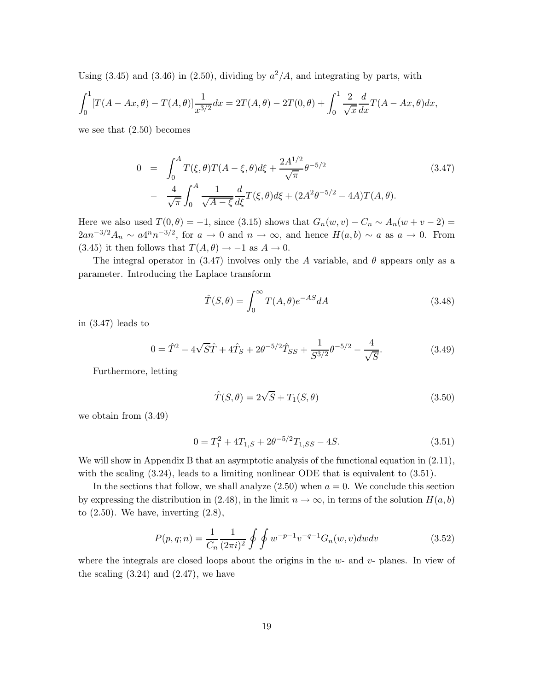Using  $(3.45)$  and  $(3.46)$  in  $(2.50)$ , dividing by  $a^2/A$ , and integrating by parts, with

$$
\int_0^1 [T(A - Ax, \theta) - T(A, \theta)] \frac{1}{x^{3/2}} dx = 2T(A, \theta) - 2T(0, \theta) + \int_0^1 \frac{2}{\sqrt{x}} \frac{d}{dx} T(A - Ax, \theta) dx,
$$

we see that (2.50) becomes

$$
0 = \int_0^A T(\xi, \theta) T(A - \xi, \theta) d\xi + \frac{2A^{1/2}}{\sqrt{\pi}} \theta^{-5/2}
$$
(3.47)  
- 
$$
\frac{4}{\sqrt{\pi}} \int_0^A \frac{1}{\sqrt{A - \xi}} \frac{d}{d\xi} T(\xi, \theta) d\xi + (2A^2 \theta^{-5/2} - 4A) T(A, \theta).
$$

Here we also used  $T(0, \theta) = -1$ , since (3.15) shows that  $G_n(w, v) - C_n \sim A_n(w + v - 2) =$  $2an^{-3/2}A_n \sim a4^n n^{-3/2}$ , for  $a \to 0$  and  $n \to \infty$ , and hence  $H(a, b) \sim a$  as  $a \to 0$ . From (3.45) it then follows that  $T(A, \theta) \rightarrow -1$  as  $A \rightarrow 0$ .

The integral operator in (3.47) involves only the *A* variable, and  $\theta$  appears only as a parameter. Introducing the Laplace transform

$$
\hat{T}(S,\theta) = \int_0^\infty T(A,\theta)e^{-AS}dA\tag{3.48}
$$

in (3.47) leads to

$$
0 = \hat{T}^2 - 4\sqrt{S}\hat{T} + 4\hat{T}_S + 2\theta^{-5/2}\hat{T}_{SS} + \frac{1}{S^{3/2}}\theta^{-5/2} - \frac{4}{\sqrt{S}}.\tag{3.49}
$$

Furthermore, letting

$$
\hat{T}(S,\theta) = 2\sqrt{S} + T_1(S,\theta)
$$
\n(3.50)

we obtain from (3.49)

$$
0 = T_1^2 + 4T_{1,S} + 2\theta^{-5/2}T_{1,SS} - 4S.
$$
 (3.51)

We will show in Appendix B that an asymptotic analysis of the functional equation in  $(2.11)$ , with the scaling  $(3.24)$ , leads to a limiting nonlinear ODE that is equivalent to  $(3.51)$ .

In the sections that follow, we shall analyze  $(2.50)$  when  $a = 0$ . We conclude this section by expressing the distribution in (2.48), in the limit  $n \to \infty$ , in terms of the solution  $H(a, b)$ to  $(2.50)$ . We have, inverting  $(2.8)$ ,

$$
P(p,q;n) = \frac{1}{C_n} \frac{1}{(2\pi i)^2} \oint \oint w^{-p-1} v^{-q-1} G_n(w,v) dw dv \qquad (3.52)
$$

where the integrals are closed loops about the origins in the *w*- and *v*- planes. In view of the scaling  $(3.24)$  and  $(2.47)$ , we have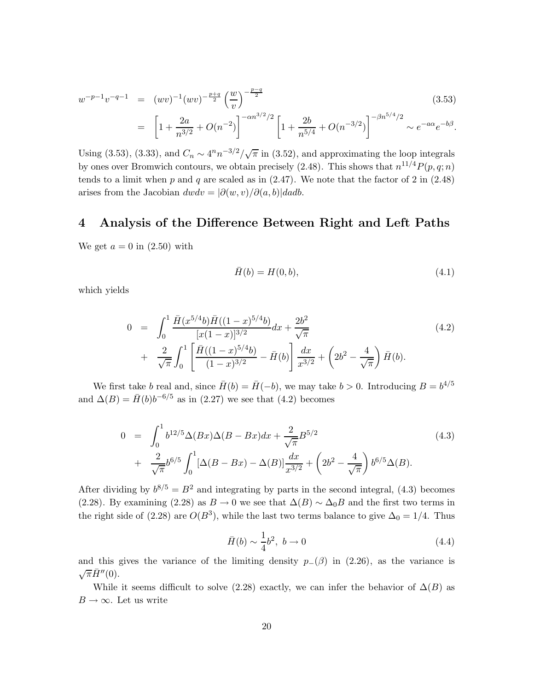$$
w^{-p-1}v^{-q-1} = (wv)^{-1}(wv)^{-\frac{p+q}{2}} \left(\frac{w}{v}\right)^{-\frac{p-q}{2}}
$$
\n
$$
= \left[1 + \frac{2a}{n^{3/2}} + O(n^{-2})\right]^{-\alpha n^{3/2}/2} \left[1 + \frac{2b}{n^{5/4}} + O(n^{-3/2})\right]^{-\beta n^{5/4}/2} \sim e^{-a\alpha}e^{-b\beta}.
$$
\n(3.53)

Using (3.53), (3.33), and  $C_n \sim 4^n n^{-3/2}/\sqrt{\pi}$  in (3.52), and approximating the loop integrals by ones over Bromwich contours, we obtain precisely (2.48). This shows that  $n^{11/4}P(p,q;n)$ tends to a limit when  $p$  and  $q$  are scaled as in  $(2.47)$ . We note that the factor of  $2$  in  $(2.48)$ arises from the Jacobian  $dwdv = |\partial(w, v)/\partial(a, b)|dadb$ .

#### **4 Analysis of the Difference Between Right and Left Paths**

We get  $a = 0$  in  $(2.50)$  with

$$
\bar{H}(b) = H(0, b),
$$
\n(4.1)

which yields

$$
0 = \int_0^1 \frac{\bar{H}(x^{5/4}b)\bar{H}((1-x)^{5/4}b)}{[x(1-x)]^{3/2}} dx + \frac{2b^2}{\sqrt{\pi}} + \frac{2}{\sqrt{\pi}} \int_0^1 \left[ \frac{\bar{H}((1-x)^{5/4}b)}{(1-x)^{3/2}} - \bar{H}(b) \right] \frac{dx}{x^{3/2}} + \left( 2b^2 - \frac{4}{\sqrt{\pi}} \right) \bar{H}(b).
$$
 (4.2)

We first take *b* real and, since  $\bar{H}(b) = \bar{H}(-b)$ , we may take  $b > 0$ . Introducing  $B = b^{4/5}$ and  $\Delta(B) = \bar{H}(b)b^{-6/5}$  as in (2.27) we see that (4.2) becomes

$$
0 = \int_0^1 b^{12/5} \Delta(Bx) \Delta(B - Bx) dx + \frac{2}{\sqrt{\pi}} B^{5/2}
$$
  
+ 
$$
\frac{2}{\sqrt{\pi}} b^{6/5} \int_0^1 [\Delta(B - Bx) - \Delta(B)] \frac{dx}{x^{3/2}} + (2b^2 - \frac{4}{\sqrt{\pi}}) b^{6/5} \Delta(B).
$$
 (4.3)

After dividing by  $b^{8/5} = B^2$  and integrating by parts in the second integral, (4.3) becomes (2.28). By examining (2.28) as  $B \to 0$  we see that  $\Delta(B) \sim \Delta_0 B$  and the first two terms in the right side of (2.28) are  $O(B^3)$ , while the last two terms balance to give  $\Delta_0 = 1/4$ . Thus

$$
\bar{H}(b) \sim \frac{1}{4}b^2, \ b \to 0 \tag{4.4}
$$

and this gives the variance of the limiting density  $p_-(\beta)$  in (2.26), as the variance is  $\sqrt{\pi} \bar{H}''(0)$ .

While it seems difficult to solve (2.28) exactly, we can infer the behavior of  $\Delta(B)$  as  $B \to \infty$ . Let us write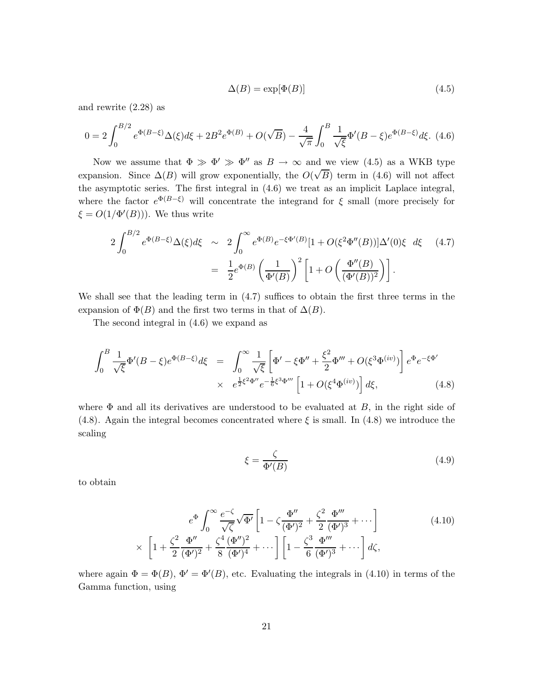$$
\Delta(B) = \exp[\Phi(B)]\tag{4.5}
$$

and rewrite (2.28) as

$$
0 = 2\int_0^{B/2} e^{\Phi(B-\xi)} \Delta(\xi) d\xi + 2B^2 e^{\Phi(B)} + O(\sqrt{B}) - \frac{4}{\sqrt{\pi}} \int_0^B \frac{1}{\sqrt{\xi}} \Phi'(B-\xi) e^{\Phi(B-\xi)} d\xi.
$$
 (4.6)

Now we assume that  $\Phi \gg \Phi' \gg \Phi''$  as  $B \to \infty$  and we view (4.5) as a WKB type expansion. Since  $\Delta(B)$  will grow exponentially, the  $O(\sqrt{B})$  term in (4.6) will not affect the asymptotic series. The first integral in (4.6) we treat as an implicit Laplace integral, where the factor  $e^{\Phi(B-\xi)}$  will concentrate the integrand for  $\xi$  small (more precisely for  $\xi = O(1/\Phi'(B))$ . We thus write

$$
2\int_0^{B/2} e^{\Phi(B-\xi)}\Delta(\xi)d\xi \sim 2\int_0^{\infty} e^{\Phi(B)}e^{-\xi\Phi'(B)}[1+O(\xi^2\Phi''(B))] \Delta'(0)\xi d\xi \quad (4.7)
$$

$$
= \frac{1}{2}e^{\Phi(B)}\left(\frac{1}{\Phi'(B)}\right)^2 \left[1+O\left(\frac{\Phi''(B)}{(\Phi'(B))^2}\right)\right].
$$

We shall see that the leading term in (4.7) suffices to obtain the first three terms in the expansion of  $\Phi(B)$  and the first two terms in that of  $\Delta(B)$ .

The second integral in (4.6) we expand as

$$
\int_{0}^{B} \frac{1}{\sqrt{\xi}} \Phi'(B - \xi) e^{\Phi(B - \xi)} d\xi = \int_{0}^{\infty} \frac{1}{\sqrt{\xi}} \left[ \Phi' - \xi \Phi'' + \frac{\xi^{2}}{2} \Phi''' + O(\xi^{3} \Phi^{(iv)}) \right] e^{\Phi} e^{-\xi \Phi'}
$$
  
 
$$
\times e^{\frac{1}{2}\xi^{2} \Phi''} e^{-\frac{1}{6}\xi^{3} \Phi'''} \left[ 1 + O(\xi^{4} \Phi^{(iv)}) \right] d\xi, \tag{4.8}
$$

where Φ and all its derivatives are understood to be evaluated at *B*, in the right side of (4.8). Again the integral becomes concentrated where *ξ* is small. In (4.8) we introduce the scaling

$$
\xi = \frac{\zeta}{\Phi'(B)}\tag{4.9}
$$

to obtain

$$
e^{\Phi} \int_0^{\infty} \frac{e^{-\zeta}}{\sqrt{\zeta}} \sqrt{\Phi'} \left[ 1 - \zeta \frac{\Phi''}{(\Phi')^2} + \frac{\zeta^2}{2} \frac{\Phi'''}{(\Phi')^3} + \cdots \right] \times \left[ 1 + \frac{\zeta^2}{2} \frac{\Phi''}{(\Phi')^2} + \frac{\zeta^4}{8} \frac{(\Phi'')^2}{(\Phi')^4} + \cdots \right] \left[ 1 - \frac{\zeta^3}{6} \frac{\Phi'''}{(\Phi')^3} + \cdots \right] d\zeta,
$$
\n(4.10)

where again  $\Phi = \Phi(B), \, \Phi' = \Phi'(B)$ , etc. Evaluating the integrals in (4.10) in terms of the Gamma function, using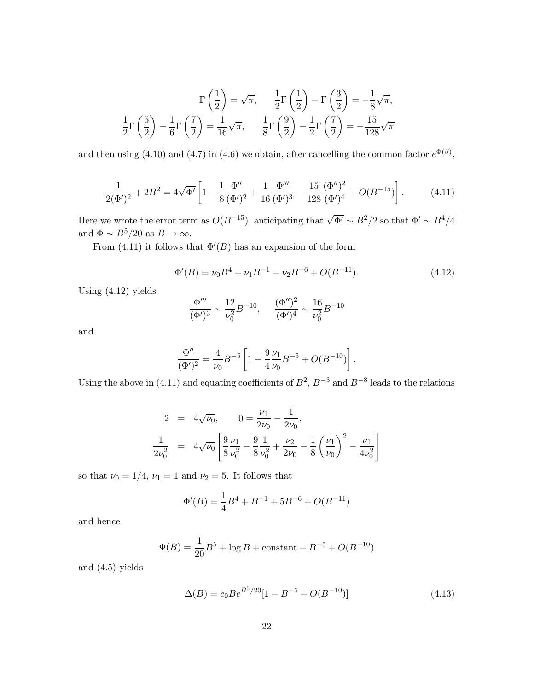$$
\Gamma\left(\frac{1}{2}\right) = \sqrt{\pi}, \quad \frac{1}{2}\Gamma\left(\frac{1}{2}\right) - \Gamma\left(\frac{3}{2}\right) = -\frac{1}{8}\sqrt{\pi},
$$

$$
\frac{1}{2}\Gamma\left(\frac{5}{2}\right) - \frac{1}{6}\Gamma\left(\frac{7}{2}\right) = \frac{1}{16}\sqrt{\pi}, \quad \frac{1}{8}\Gamma\left(\frac{9}{2}\right) - \frac{1}{2}\Gamma\left(\frac{7}{2}\right) = -\frac{15}{128}\sqrt{\pi}
$$

and then using (4.10) and (4.7) in (4.6) we obtain, after cancelling the common factor  $e^{\Phi(\beta)}$ ,

$$
\frac{1}{2(\Phi')^2} + 2B^2 = 4\sqrt{\Phi'} \left[ 1 - \frac{1}{8} \frac{\Phi''}{(\Phi')^2} + \frac{1}{16} \frac{\Phi'''}{(\Phi')^3} - \frac{15}{128} \frac{(\Phi'')^2}{(\Phi')^4} + O(B^{-15}) \right].
$$
 (4.11)

Here we wrote the error term as  $O(B^{-15})$ , anticipating that  $\sqrt{\Phi'} \sim B^2/2$  so that  $\Phi' \sim B^4/4$ and  $\Phi \sim B^5/20$  as  $B \to \infty$ .

From  $(4.11)$  it follows that  $\Phi'(B)$  has an expansion of the form

$$
\Phi'(B) = \nu_0 B^4 + \nu_1 B^{-1} + \nu_2 B^{-6} + O(B^{-11}).
$$
\n(4.12)

Using (4.12) yields

$$
\frac{\Phi'''}{(\Phi')^3} \sim \frac{12}{\nu_0^2} B^{-10}, \qquad \frac{(\Phi'')^2}{(\Phi')^4} \sim \frac{16}{\nu_0^2} B^{-10}
$$

and

$$
\frac{\Phi''}{(\Phi')^2} = \frac{4}{\nu_0} B^{-5} \left[ 1 - \frac{9}{4} \frac{\nu_1}{\nu_0} B^{-5} + O(B^{-10}) \right].
$$

Using the above in (4.11) and equating coefficients of  $B^2$ ,  $B^{-3}$  and  $B^{-8}$  leads to the relations

$$
2 = 4\sqrt{\nu_0}, \qquad 0 = \frac{\nu_1}{2\nu_0} - \frac{1}{2\nu_0},
$$
  

$$
\frac{1}{2\nu_0^2} = 4\sqrt{\nu_0} \left[ \frac{9}{8} \frac{\nu_1}{\nu_0^2} - \frac{9}{8} \frac{1}{\nu_0^2} + \frac{\nu_2}{2\nu_0} - \frac{1}{8} \left( \frac{\nu_1}{\nu_0} \right)^2 - \frac{\nu_1}{4\nu_0^2} \right]
$$

so that  $\nu_0 = 1/4$ ,  $\nu_1 = 1$  and  $\nu_2 = 5$ . It follows that

$$
\Phi'(B) = \frac{1}{4}B^4 + B^{-1} + 5B^{-6} + O(B^{-11})
$$

and hence

$$
\Phi(B) = \frac{1}{20}B^5 + \log B + \text{constant} - B^{-5} + O(B^{-10})
$$

and (4.5) yields

$$
\Delta(B) = c_0 B e^{B^5/20} [1 - B^{-5} + O(B^{-10})]
$$
\n(4.13)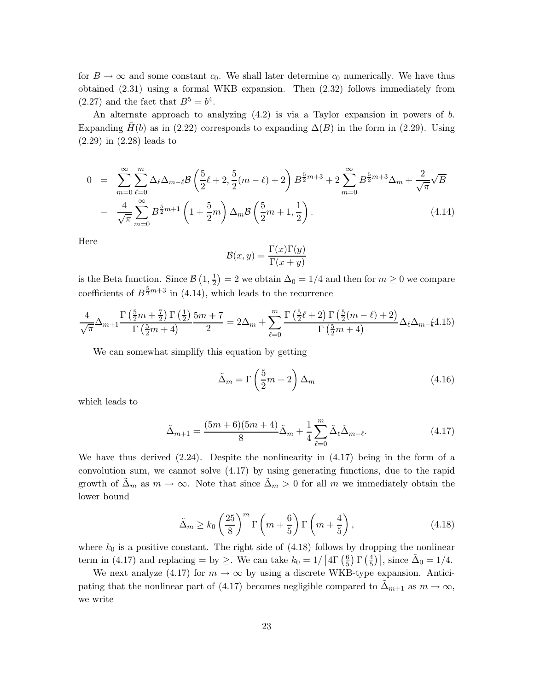for  $B \to \infty$  and some constant  $c_0$ . We shall later determine  $c_0$  numerically. We have thus obtained (2.31) using a formal WKB expansion. Then (2.32) follows immediately from (2.27) and the fact that  $B^5 = b^4$ .

An alternate approach to analyzing (4.2) is via a Taylor expansion in powers of *b*. Expanding  $H(b)$  as in (2.22) corresponds to expanding  $\Delta(B)$  in the form in (2.29). Using (2.29) in (2.28) leads to

$$
0 = \sum_{m=0}^{\infty} \sum_{\ell=0}^{m} \Delta_{\ell} \Delta_{m-\ell} \mathcal{B} \left( \frac{5}{2} \ell + 2, \frac{5}{2} (m - \ell) + 2 \right) B^{\frac{5}{2}m+3} + 2 \sum_{m=0}^{\infty} B^{\frac{5}{2}m+3} \Delta_m + \frac{2}{\sqrt{\pi}} \sqrt{B}
$$

$$
- \frac{4}{\sqrt{\pi}} \sum_{m=0}^{\infty} B^{\frac{5}{2}m+1} \left( 1 + \frac{5}{2} m \right) \Delta_m \mathcal{B} \left( \frac{5}{2} m + 1, \frac{1}{2} \right). \tag{4.14}
$$

Here

$$
\mathcal{B}(x,y) = \frac{\Gamma(x)\Gamma(y)}{\Gamma(x+y)}
$$

is the Beta function. Since  $\mathcal{B}(1, \frac{1}{2}) = 2$  we obtain  $\Delta_0 = 1/4$  and then for  $m \geq 0$  we compare coefficients of  $B^{\frac{5}{2}m+3}$  in (4.14), which leads to the recurrence

$$
\frac{4}{\sqrt{\pi}}\Delta_{m+1}\frac{\Gamma\left(\frac{5}{2}m+\frac{7}{2}\right)\Gamma\left(\frac{1}{2}\right)}{\Gamma\left(\frac{5}{2}m+4\right)}\frac{5m+7}{2} = 2\Delta_m + \sum_{\ell=0}^{m} \frac{\Gamma\left(\frac{5}{2}\ell+2\right)\Gamma\left(\frac{5}{2}(m-\ell)+2\right)}{\Gamma\left(\frac{5}{2}m+4\right)}\Delta_{\ell}\Delta_{m-\ell}4.15
$$

We can somewhat simplify this equation by getting

$$
\tilde{\Delta}_m = \Gamma \left( \frac{5}{2} m + 2 \right) \Delta_m \tag{4.16}
$$

which leads to

$$
\tilde{\Delta}_{m+1} = \frac{(5m+6)(5m+4)}{8}\tilde{\Delta}_m + \frac{1}{4}\sum_{\ell=0}^m \tilde{\Delta}_\ell \tilde{\Delta}_{m-\ell}.
$$
\n(4.17)

We have thus derived (2.24). Despite the nonlinearity in (4.17) being in the form of a convolution sum, we cannot solve (4.17) by using generating functions, due to the rapid growth of  $\tilde{\Delta}_m$  as  $m \to \infty$ . Note that since  $\tilde{\Delta}_m > 0$  for all m we immediately obtain the lower bound

$$
\tilde{\Delta}_m \ge k_0 \left(\frac{25}{8}\right)^m \Gamma\left(m + \frac{6}{5}\right) \Gamma\left(m + \frac{4}{5}\right),\tag{4.18}
$$

where  $k_0$  is a positive constant. The right side of  $(4.18)$  follows by dropping the nonlinear term in (4.17) and replacing = by  $\geq$ . We can take  $k_0 = 1/\left[4\Gamma\left(\frac{6}{5}\right)\Gamma\left(\frac{4}{5}\right)\right]$ , since  $\tilde{\Delta}_0 = 1/4$ .

We next analyze (4.17) for  $m \to \infty$  by using a discrete WKB-type expansion. Anticipating that the nonlinear part of (4.17) becomes negligible compared to  $\tilde{\Delta}_{m+1}$  as  $m \to \infty$ , we write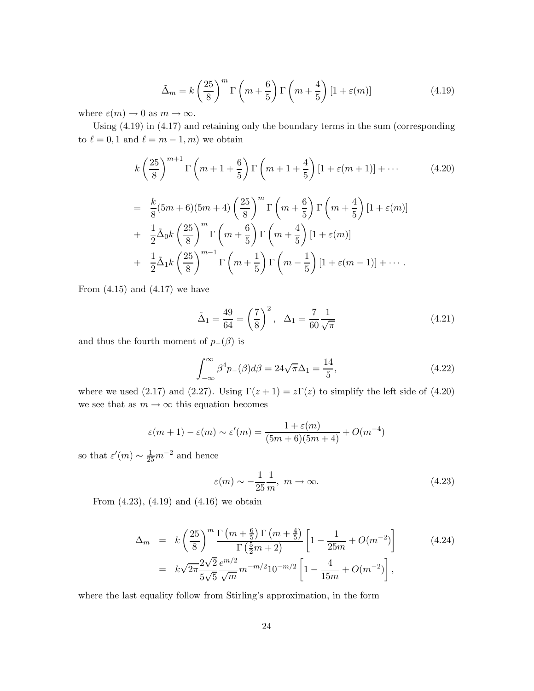$$
\tilde{\Delta}_m = k \left(\frac{25}{8}\right)^m \Gamma\left(m + \frac{6}{5}\right) \Gamma\left(m + \frac{4}{5}\right) [1 + \varepsilon(m)] \tag{4.19}
$$

where  $\varepsilon(m) \to 0$  as  $m \to \infty$ .

Using (4.19) in (4.17) and retaining only the boundary terms in the sum (corresponding to  $\ell = 0, 1$  and  $\ell = m - 1, m$ ) we obtain

$$
k\left(\frac{25}{8}\right)^{m+1}\Gamma\left(m+1+\frac{6}{5}\right)\Gamma\left(m+1+\frac{4}{5}\right)\left[1+\varepsilon(m+1)\right]+\cdots
$$
\n
$$
= \frac{k}{8}(5m+6)(5m+4)\left(\frac{25}{8}\right)^m\Gamma\left(m+\frac{6}{5}\right)\Gamma\left(m+\frac{4}{5}\right)\left[1+\varepsilon(m)\right]
$$
\n
$$
+ \frac{1}{2}\tilde{\Delta}_0k\left(\frac{25}{8}\right)^m\Gamma\left(m+\frac{6}{5}\right)\Gamma\left(m+\frac{4}{5}\right)\left[1+\varepsilon(m)\right]
$$
\n
$$
+ \frac{1}{2}\tilde{\Delta}_1k\left(\frac{25}{8}\right)^{m-1}\Gamma\left(m+\frac{1}{5}\right)\Gamma\left(m-\frac{1}{5}\right)\left[1+\varepsilon(m-1)\right]+\cdots
$$
\n(4.20)

From  $(4.15)$  and  $(4.17)$  we have

$$
\tilde{\Delta}_1 = \frac{49}{64} = \left(\frac{7}{8}\right)^2, \quad \Delta_1 = \frac{7}{60} \frac{1}{\sqrt{\pi}}
$$
\n(4.21)

and thus the fourth moment of  $p_-(\beta)$  is

$$
\int_{-\infty}^{\infty} \beta^4 p_{-}(\beta) d\beta = 24\sqrt{\pi} \Delta_1 = \frac{14}{5},\tag{4.22}
$$

where we used (2.17) and (2.27). Using  $\Gamma(z+1) = z\Gamma(z)$  to simplify the left side of (4.20) we see that as  $m\to\infty$  this equation becomes

$$
\varepsilon(m+1) - \varepsilon(m) \sim \varepsilon'(m) = \frac{1 + \varepsilon(m)}{(5m+6)(5m+4)} + O(m^{-4})
$$

so that  $\varepsilon'(m) \sim \frac{1}{25}m^{-2}$  and hence

$$
\varepsilon(m) \sim -\frac{1}{25} \frac{1}{m}, \ m \to \infty.
$$
 (4.23)

From (4.23), (4.19) and (4.16) we obtain

$$
\Delta_m = k \left(\frac{25}{8}\right)^m \frac{\Gamma\left(m + \frac{6}{5}\right) \Gamma\left(m + \frac{4}{5}\right)}{\Gamma\left(\frac{5}{2}m + 2\right)} \left[1 - \frac{1}{25m} + O(m^{-2})\right] \tag{4.24}
$$
\n
$$
= k \sqrt{2\pi} \frac{2\sqrt{2}}{5\sqrt{5}} \frac{e^{m/2}}{\sqrt{m}} m^{-m/2} 10^{-m/2} \left[1 - \frac{4}{15m} + O(m^{-2})\right],
$$

where the last equality follow from Stirling's approximation, in the form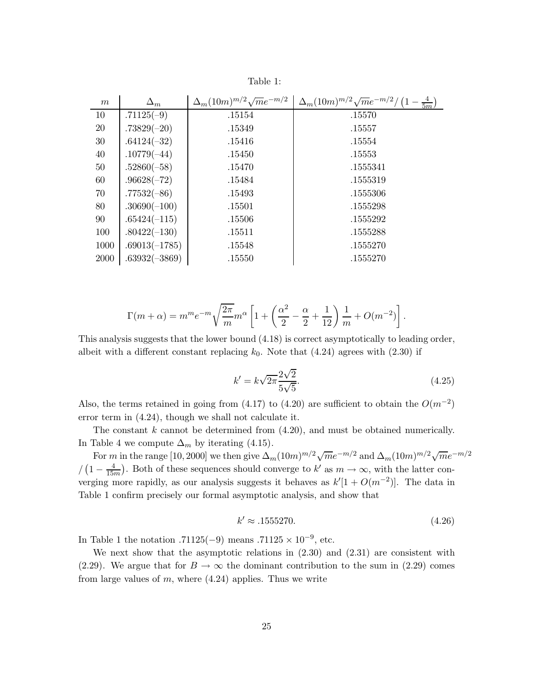| m    | $\Delta_m$      | $\Delta_m(10m)^{m/2}\sqrt{m}e^{-m/2}$ | $\Delta_m (10m)^{m/2} \sqrt{m} e^{-m/2}$ |
|------|-----------------|---------------------------------------|------------------------------------------|
| 10   | $.71125(-9)$    | .15154                                | .15570                                   |
| 20   | $.73829(-20)$   | .15349                                | .15557                                   |
| 30   | $.64124(-32)$   | .15416                                | .15554                                   |
| 40   | $.10779(-44)$   | .15450                                | .15553                                   |
| 50   | $.52860(-58)$   | .15470                                | .1555341                                 |
| 60   | $.96628(-72)$   | .15484                                | .1555319                                 |
| 70   | $.77532(-86)$   | .15493                                | .1555306                                 |
| 80   | $.30690(-100)$  | .15501                                | .1555298                                 |
| 90   | $.65424(-115)$  | .15506                                | .1555292                                 |
| 100  | $.80422(-130)$  | .15511                                | .1555288                                 |
| 1000 | $.69013(-1785)$ | .15548                                | .1555270                                 |
| 2000 | $.63932(-3869)$ | .15550                                | .1555270                                 |

Table 1:

$$
\Gamma(m+\alpha) = m^m e^{-m} \sqrt{\frac{2\pi}{m}} m^{\alpha} \left[ 1 + \left( \frac{\alpha^2}{2} - \frac{\alpha}{2} + \frac{1}{12} \right) \frac{1}{m} + O(m^{-2}) \right]
$$

This analysis suggests that the lower bound (4.18) is correct asymptotically to leading order, albeit with a different constant replacing  $k_0$ . Note that  $(4.24)$  agrees with  $(2.30)$  if

$$
k' = k\sqrt{2\pi} \frac{2\sqrt{2}}{5\sqrt{5}}.
$$
\n(4.25)

*.*

Also, the terms retained in going from  $(4.17)$  to  $(4.20)$  are sufficient to obtain the  $O(m^{-2})$ error term in (4.24), though we shall not calculate it.

The constant *k* cannot be determined from (4.20), and must be obtained numerically. In Table 4 we compute  $\Delta_m$  by iterating (4.15).

For *m* in the range [10, 2000] we then give  $\Delta_m(10m)^{m/2}\sqrt{m}e^{-m/2}$  and  $\Delta_m(10m)^{m/2}\sqrt{m}e^{-m/2}$ */* (1 −  $\frac{4}{15m}$ ). Both of these sequences should converge to *k'* as  $m \to \infty$ , with the latter converging more rapidly, as our analysis suggests it behaves as  $k'[1 + O(m^{-2})]$ . The data in Table 1 confirm precisely our formal asymptotic analysis, and show that

$$
k' \approx .1555270.\tag{4.26}
$$

In Table 1 the notation  $.71125(-9)$  means  $.71125 \times 10^{-9}$ , etc.

We next show that the asymptotic relations in  $(2.30)$  and  $(2.31)$  are consistent with (2.29). We argue that for  $B \to \infty$  the dominant contribution to the sum in (2.29) comes from large values of *m*, where (4.24) applies. Thus we write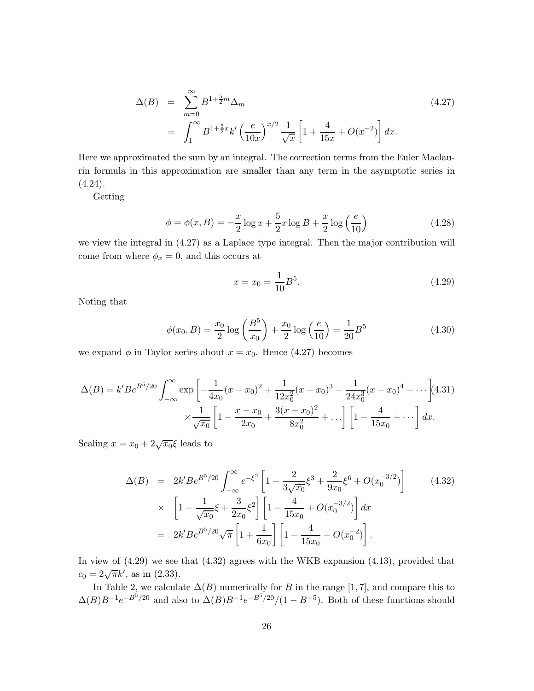$$
\Delta(B) = \sum_{m=0}^{\infty} B^{1+\frac{5}{2}m} \Delta_m
$$
\n
$$
= \int_{1}^{\infty} B^{1+\frac{5}{2}x} k' \left(\frac{e}{10x}\right)^{x/2} \frac{1}{\sqrt{x}} \left[1 + \frac{4}{15x} + O(x^{-2})\right] dx.
$$
\n(4.27)

Here we approximated the sum by an integral. The correction terms from the Euler Maclaurin formula in this approximation are smaller than any term in the asymptotic series in  $(4.24).$ 

Getting

$$
\phi = \phi(x, B) = -\frac{x}{2}\log x + \frac{5}{2}x\log B + \frac{x}{2}\log\left(\frac{e}{10}\right)
$$
 (4.28)

we view the integral in (4.27) as a Laplace type integral. Then the major contribution will come from where  $\phi_x = 0$ , and this occurs at

$$
x = x_0 = \frac{1}{10}B^5.
$$
\n(4.29)

Noting that

$$
\phi(x_0, B) = \frac{x_0}{2} \log \left( \frac{B^5}{x_0} \right) + \frac{x_0}{2} \log \left( \frac{e}{10} \right) = \frac{1}{20} B^5 \tag{4.30}
$$

we expand  $\phi$  in Taylor series about  $x = x_0$ . Hence (4.27) becomes

$$
\Delta(B) = k' Be^{B^5/20} \int_{-\infty}^{\infty} \exp\left[-\frac{1}{4x_0}(x-x_0)^2 + \frac{1}{12x_0^2}(x-x_0)^3 - \frac{1}{24x_0^3}(x-x_0)^4 + \cdots\right] (4.31)
$$

$$
\times \frac{1}{\sqrt{x_0}} \left[1 - \frac{x-x_0}{2x_0} + \frac{3(x-x_0)^2}{8x_0^2} + \cdots\right] \left[1 - \frac{4}{15x_0} + \cdots\right] dx.
$$

Scaling  $x = x_0 + 2\sqrt{x_0}$ ξ leads to

$$
\Delta(B) = 2k'Be^{B^5/20} \int_{-\infty}^{\infty} e^{-\xi^2} \left[ 1 + \frac{2}{3\sqrt{x_0}} \xi^3 + \frac{2}{9x_0} \xi^6 + O(x_0^{-3/2}) \right]
$$
(4.32)  
\n
$$
\times \left[ 1 - \frac{1}{\sqrt{x_0}} \xi + \frac{3}{2x_0} \xi^2 \right] \left[ 1 - \frac{4}{15x_0} + O(x_0^{-3/2}) \right] dx
$$
  
\n
$$
= 2k'Be^{B^5/20} \sqrt{\pi} \left[ 1 + \frac{1}{6x_0} \right] \left[ 1 - \frac{4}{15x_0} + O(x_0^{-2}) \right].
$$

In view of (4.29) we see that (4.32) agrees with the WKB expansion (4.13), provided that  $c_0 = 2\sqrt{\pi}k'$ , as in (2.33).

In Table 2, we calculate  $\Delta(B)$  numerically for *B* in the range [1,7], and compare this to  $\Delta(B)B^{-1}e^{-B^5/20}$  and also to  $\Delta(B)B^{-1}e^{-B^5/20}/(1-B^{-5})$ . Both of these functions should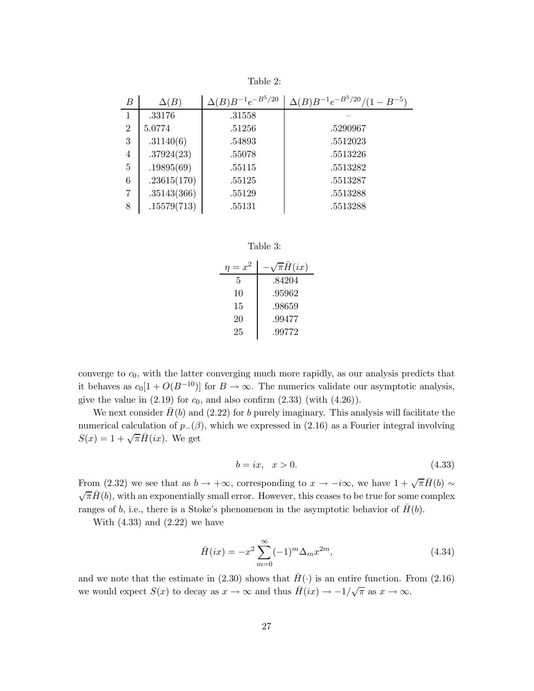| В              | $\Delta(B)$ | $\Delta(B)B^{-1}e^{-B^5/20}$ | $\Delta(B)B^{-1}e^{-B^5/20}/(1-B^{-5})$ |
|----------------|-------------|------------------------------|-----------------------------------------|
| 1              | .33176      | .31558                       |                                         |
| $\overline{2}$ | 5.0774      | .51256                       | .5290967                                |
| 3              | .31140(6)   | .54893                       | .5512023                                |
| $\overline{4}$ | .37924(23)  | .55078                       | .5513226                                |
| $\overline{5}$ | .19895(69)  | .55115                       | .5513282                                |
| 6              | .23615(170) | .55125                       | .5513287                                |
| $\overline{7}$ | .35143(366) | .55129                       | .5513288                                |
| 8              | .15579(713) | .55131                       | .5513288                                |

Table 2:

| anie |  |
|------|--|
|------|--|

| $\eta = x^2$ | $\sqrt{\pi}H(ix)$ |
|--------------|-------------------|
| 5            | .84204            |
| 10           | .95962            |
| 15           | .98659            |
| 20           | .99477            |
| 25           | .99772            |

converge to  $c_0$ , with the latter converging much more rapidly, as our analysis predicts that it behaves as  $c_0[1 + O(B^{-10})]$  for  $B \to \infty$ . The numerics validate our asymptotic analysis, give the value in  $(2.19)$  for  $c_0$ , and also confirm  $(2.33)$  (with  $(4.26)$ ).

We next consider  $\bar{H}(b)$  and (2.22) for *b* purely imaginary. This analysis will facilitate the numerical calculation of  $p_-(\beta)$ , which we expressed in (2.16) as a Fourier integral involving  $S(x)=1+\sqrt{\pi}\bar{H}(ix)$ . We get

$$
b = ix, \quad x > 0. \tag{4.33}
$$

From (2.32) we see that as  $b \to +\infty$ , corresponding to  $x \to -i\infty$ , we have  $1 + \sqrt{\pi} \overline{H}(b) \sim \sqrt{\pi} \overline{H}(b)$ , with an exponentially small error. However, this ceases to be true for some complex ranges of *b*, i.e., there is a Stoke's phenomenon in the asymptotic behavior of  $H(b)$ .

With  $(4.33)$  and  $(2.22)$  we have

$$
\bar{H}(ix) = -x^2 \sum_{m=0}^{\infty} (-1)^m \Delta_m x^{2m},
$$
\n(4.34)

and we note that the estimate in  $(2.30)$  shows that  $H(\cdot)$  is an entire function. From  $(2.16)$ we would expect  $S(x)$  to decay as  $x \to \infty$  and thus  $\bar{H}(ix) \to -1/\sqrt{\pi}$  as  $x \to \infty$ .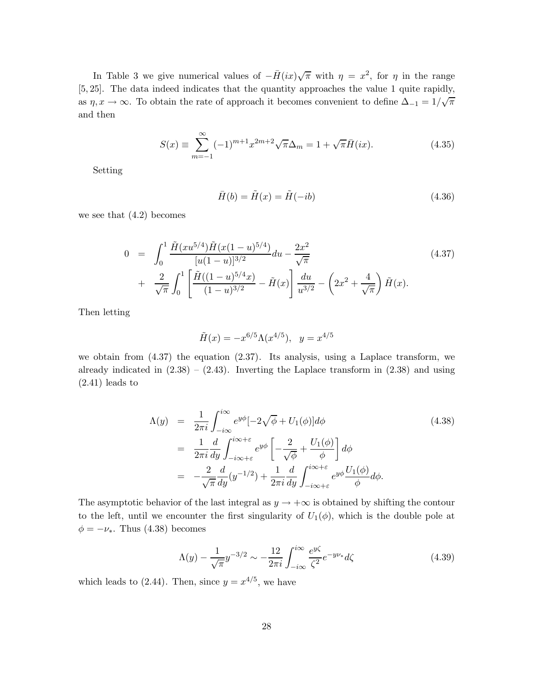In Table 3 we give numerical values of  $-\bar{H}(ix)\sqrt{\pi}$  with  $\eta = x^2$ , for  $\eta$  in the range [5*,* 25]. The data indeed indicates that the quantity approaches the value 1 quite rapidly, as  $\eta, x \to \infty$ . To obtain the rate of approach it becomes convenient to define  $\Delta_{-1} = 1/\sqrt{\pi}$ and then

$$
S(x) \equiv \sum_{m=-1}^{\infty} (-1)^{m+1} x^{2m+2} \sqrt{\pi} \Delta_m = 1 + \sqrt{\pi} \bar{H}(ix).
$$
 (4.35)

Setting

$$
\bar{H}(b) = \tilde{H}(x) = \tilde{H}(-ib)
$$
\n(4.36)

we see that  $(4.2)$  becomes

$$
0 = \int_0^1 \frac{\tilde{H}(xu^{5/4})\tilde{H}(x(1-u)^{5/4})}{[u(1-u)]^{3/2}} du - \frac{2x^2}{\sqrt{\pi}} + \frac{2}{\sqrt{\pi}} \int_0^1 \left[ \frac{\tilde{H}((1-u)^{5/4}x)}{(1-u)^{3/2}} - \tilde{H}(x) \right] \frac{du}{u^{3/2}} - \left(2x^2 + \frac{4}{\sqrt{\pi}}\right) \tilde{H}(x).
$$
 (4.37)

Then letting

$$
\tilde{H}(x) = -x^{6/5} \Lambda(x^{4/5}), \quad y = x^{4/5}
$$

we obtain from (4.37) the equation (2.37). Its analysis, using a Laplace transform, we already indicated in  $(2.38) - (2.43)$ . Inverting the Laplace transform in  $(2.38)$  and using  $(2.41)$  leads to

$$
\Lambda(y) = \frac{1}{2\pi i} \int_{-i\infty}^{i\infty} e^{y\phi} [-2\sqrt{\phi} + U_1(\phi)] d\phi
$$
\n
$$
= \frac{1}{2\pi i} \frac{d}{dy} \int_{-i\infty + \varepsilon}^{i\infty + \varepsilon} e^{y\phi} \left[ -\frac{2}{\sqrt{\phi}} + \frac{U_1(\phi)}{\phi} \right] d\phi
$$
\n
$$
= -\frac{2}{\sqrt{\pi}} \frac{d}{dy} (y^{-1/2}) + \frac{1}{2\pi i} \frac{d}{dy} \int_{-i\infty + \varepsilon}^{i\infty + \varepsilon} e^{y\phi} \frac{U_1(\phi)}{\phi} d\phi.
$$
\n(4.38)

The asymptotic behavior of the last integral as  $y \to +\infty$  is obtained by shifting the contour to the left, until we encounter the first singularity of  $U_1(\phi)$ , which is the double pole at  $\phi = -\nu_*$ . Thus (4.38) becomes

$$
\Lambda(y) - \frac{1}{\sqrt{\pi}} y^{-3/2} \sim -\frac{12}{2\pi i} \int_{-i\infty}^{i\infty} \frac{e^{y\zeta}}{\zeta^2} e^{-y\nu_*} d\zeta
$$
\n(4.39)

which leads to (2.44). Then, since  $y = x^{4/5}$ , we have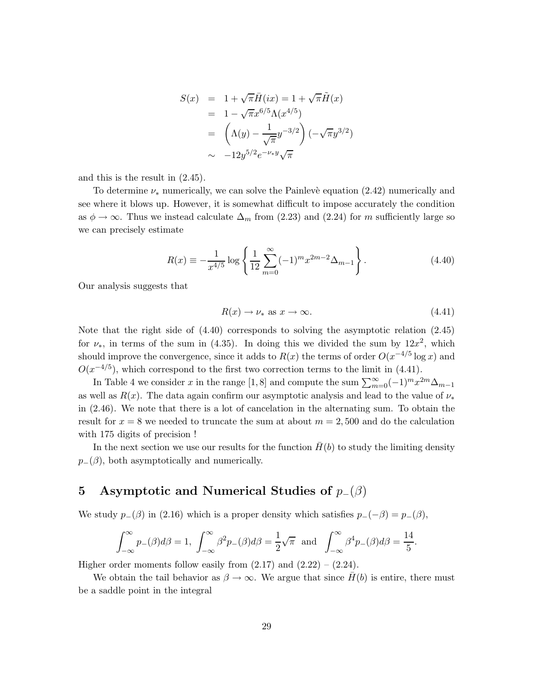$$
S(x) = 1 + \sqrt{\pi} \bar{H}(ix) = 1 + \sqrt{\pi} \tilde{H}(x)
$$
  
= 1 - \sqrt{\pi} x^{6/5} \Lambda(x^{4/5})  
= (\Lambda(y) - \frac{1}{\sqrt{\pi}} y^{-3/2}) (-\sqrt{\pi} y^{3/2})  
\sim -12y^{5/2} e^{-\nu\_\* y} \sqrt{\pi}

and this is the result in (2.45).

To determine  $\nu_*$  numerically, we can solve the Painlevè equation (2.42) numerically and see where it blows up. However, it is somewhat difficult to impose accurately the condition as  $\phi \to \infty$ . Thus we instead calculate  $\Delta_m$  from (2.23) and (2.24) for *m* sufficiently large so we can precisely estimate

$$
R(x) \equiv -\frac{1}{x^{4/5}} \log \left\{ \frac{1}{12} \sum_{m=0}^{\infty} (-1)^m x^{2m-2} \Delta_{m-1} \right\}.
$$
 (4.40)

Our analysis suggests that

$$
R(x) \to \nu_* \text{ as } x \to \infty. \tag{4.41}
$$

Note that the right side of (4.40) corresponds to solving the asymptotic relation (2.45) for  $\nu_{*}$ , in terms of the sum in (4.35). In doing this we divided the sum by  $12x^{2}$ , which should improve the convergence, since it adds to  $R(x)$  the terms of order  $O(x^{-4/5} \log x)$  and  $O(x^{-4/5})$ , which correspond to the first two correction terms to the limit in (4.41).

In Table 4 we consider *x* in the range [1,8] and compute the sum  $\sum_{m=0}^{\infty}(-1)^{m}x^{2m}\Delta_{m-1}$ as well as  $R(x)$ . The data again confirm our asymptotic analysis and lead to the value of  $\nu_*$ in (2.46). We note that there is a lot of cancelation in the alternating sum. To obtain the result for  $x = 8$  we needed to truncate the sum at about  $m = 2,500$  and do the calculation with 175 digits of precision !

In the next section we use our results for the function  $\bar{H}(b)$  to study the limiting density  $p_-(\beta)$ , both asymptotically and numerically.

## **5 Asymptotic and Numerical Studies of** p−(β)

We study  $p_-(\beta)$  in (2.16) which is a proper density which satisfies  $p_-(-\beta) = p_-(\beta)$ ,

$$
\int_{-\infty}^{\infty} p_{-}(\beta)d\beta = 1, \ \int_{-\infty}^{\infty} \beta^{2} p_{-}(\beta)d\beta = \frac{1}{2}\sqrt{\pi} \ \text{and} \ \int_{-\infty}^{\infty} \beta^{4} p_{-}(\beta)d\beta = \frac{14}{5}.
$$

Higher order moments follow easily from  $(2.17)$  and  $(2.22) - (2.24)$ .

We obtain the tail behavior as  $\beta \to \infty$ . We argue that since  $\bar{H}(b)$  is entire, there must be a saddle point in the integral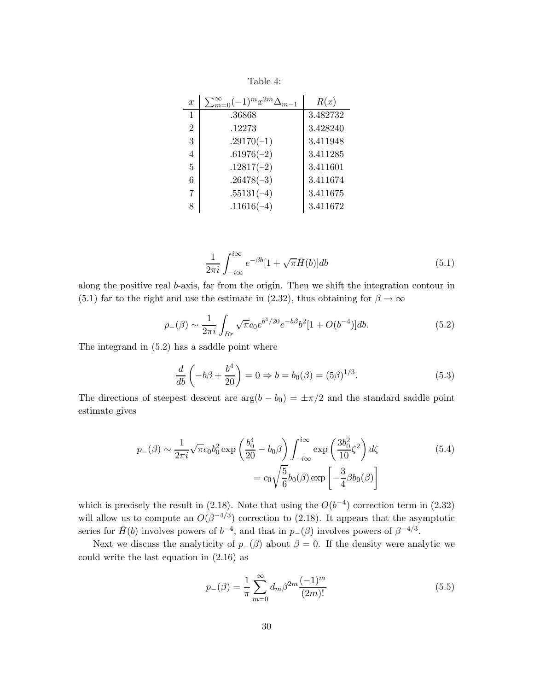Table 4:

| $\boldsymbol{x}$ | $\sum_{m=0}^{\infty}(-1)^{m}x^{2m}\Delta_{m-1}$ | R(x)     |
|------------------|-------------------------------------------------|----------|
| 1                | .36868                                          | 3.482732 |
| $\overline{2}$   | .12273                                          | 3.428240 |
| 3                | $.29170(-1)$                                    | 3.411948 |
| $\overline{4}$   | $.61976(-2)$                                    | 3.411285 |
| 5                | $.12817(-2)$                                    | 3.411601 |
| 6                | $.26478(-3)$                                    | 3.411674 |
| 7                | $.55131(-4)$                                    | 3.411675 |
| 8                | $.11616(-4)$                                    | 3.411672 |

$$
\frac{1}{2\pi i} \int_{-i\infty}^{i\infty} e^{-\beta b} [1 + \sqrt{\pi} \bar{H}(b)] db \tag{5.1}
$$

along the positive real *b*-axis, far from the origin. Then we shift the integration contour in (5.1) far to the right and use the estimate in (2.32), thus obtaining for  $\beta \to \infty$ 

$$
p_{-}(\beta) \sim \frac{1}{2\pi i} \int_{Br} \sqrt{\pi} c_0 e^{b^4/20} e^{-b\beta} b^2 [1 + O(b^{-4})] db.
$$
 (5.2)

The integrand in (5.2) has a saddle point where

$$
\frac{d}{db}\left(-b\beta + \frac{b^4}{20}\right) = 0 \Rightarrow b = b_0(\beta) = (5\beta)^{1/3}.
$$
\n(5.3)

The directions of steepest descent are  $\arg(b - b_0) = \pm \pi/2$  and the standard saddle point estimate gives

$$
p_{-}(\beta) \sim \frac{1}{2\pi i} \sqrt{\pi} c_0 b_0^2 \exp\left(\frac{b_0^4}{20} - b_0 \beta\right) \int_{-i\infty}^{i\infty} \exp\left(\frac{3b_0^2}{10}\zeta^2\right) d\zeta
$$
\n
$$
= c_0 \sqrt{\frac{5}{6}} b_0(\beta) \exp\left[-\frac{3}{4}\beta b_0(\beta)\right]
$$
\n(5.4)

which is precisely the result in  $(2.18)$ . Note that using the  $O(b^{-4})$  correction term in  $(2.32)$ will allow us to compute an  $O(\beta^{-4/3})$  correction to (2.18). It appears that the asymptotic series for  $\bar{H}$ (*b*) involves powers of *b*<sup>−4</sup>, and that in *p*−( $\beta$ ) involves powers of  $\beta$ <sup>−4/3</sup>.

Next we discuss the analyticity of  $p_-(\beta)$  about  $\beta = 0$ . If the density were analytic we could write the last equation in (2.16) as

$$
p_{-}(\beta) = \frac{1}{\pi} \sum_{m=0}^{\infty} d_{m} \beta^{2m} \frac{(-1)^{m}}{(2m)!}
$$
\n(5.5)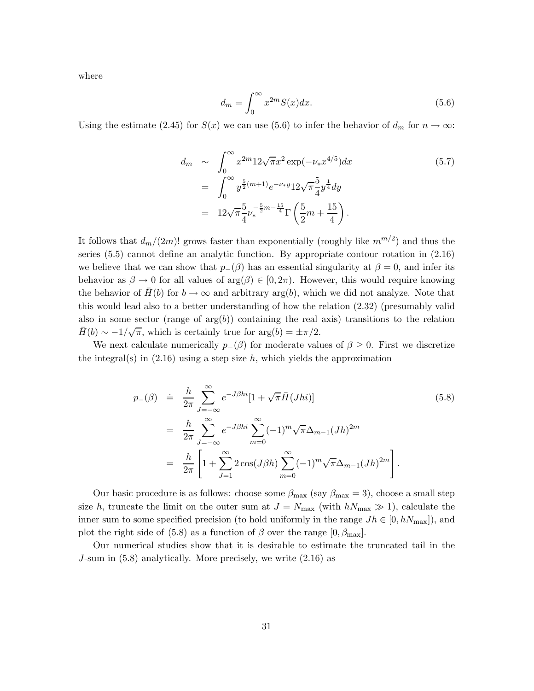where

$$
d_m = \int_0^\infty x^{2m} S(x) dx.
$$
\n(5.6)

Using the estimate (2.45) for *S*(*x*) we can use (5.6) to infer the behavior of  $d_m$  for  $n \to \infty$ :

$$
d_m \sim \int_0^\infty x^{2m} 12\sqrt{\pi} x^2 \exp(-\nu_* x^{4/5}) dx
$$
\n
$$
= \int_0^\infty y^{\frac{5}{2}(m+1)} e^{-\nu_* y} 12\sqrt{\pi} \frac{5}{4} y^{\frac{1}{4}} dy
$$
\n
$$
= 12\sqrt{\pi} \frac{5}{4} \nu_*^{-\frac{5}{2}m - \frac{15}{4}} \Gamma\left(\frac{5}{2}m + \frac{15}{4}\right).
$$
\n(5.7)

It follows that  $d_m/(2m)!$  grows faster than exponentially (roughly like  $m^{m/2}$ ) and thus the series (5.5) cannot define an analytic function. By appropriate contour rotation in (2.16) we believe that we can show that  $p_-(\beta)$  has an essential singularity at  $\beta = 0$ , and infer its behavior as  $\beta \to 0$  for all values of  $\arg(\beta) \in [0, 2\pi)$ . However, this would require knowing the behavior of  $H(b)$  for  $b \to \infty$  and arbitrary arg(*b*), which we did not analyze. Note that this would lead also to a better understanding of how the relation (2.32) (presumably valid also in some sector (range of  $arg(b)$ ) containing the real axis) transitions to the relation  $\bar{H}(b) \sim -1/\sqrt{\pi}$ , which is certainly true for arg $(b) = \pm \pi/2$ .

We next calculate numerically  $p_-(\beta)$  for moderate values of  $\beta \geq 0$ . First we discretize the integral(s) in  $(2.16)$  using a step size h, which yields the approximation

$$
p_{-}(\beta) \doteq \frac{h}{2\pi} \sum_{J=-\infty}^{\infty} e^{-J\beta h i} [1 + \sqrt{\pi} \bar{H}(Jhi)]
$$
(5.8)  

$$
= \frac{h}{2\pi} \sum_{J=-\infty}^{\infty} e^{-J\beta h i} \sum_{m=0}^{\infty} (-1)^m \sqrt{\pi} \Delta_{m-1} (Jh)^{2m}
$$
  

$$
= \frac{h}{2\pi} \left[ 1 + \sum_{J=1}^{\infty} 2 \cos(J\beta h) \sum_{m=0}^{\infty} (-1)^m \sqrt{\pi} \Delta_{m-1} (Jh)^{2m} \right].
$$

Our basic procedure is as follows: choose some  $\beta_{\text{max}}$  (say  $\beta_{\text{max}} = 3$ ), choose a small step size *h*, truncate the limit on the outer sum at  $J = N_{\text{max}}$  (with  $h_{\text{max}} \gg 1$ ), calculate the inner sum to some specified precision (to hold uniformly in the range  $Jh \in [0, hN_{\text{max}}]$ ), and plot the right side of (5.8) as a function of  $\beta$  over the range  $[0, \beta_{\text{max}}]$ .

Our numerical studies show that it is desirable to estimate the truncated tail in the *J*-sum in (5.8) analytically. More precisely, we write (2.16) as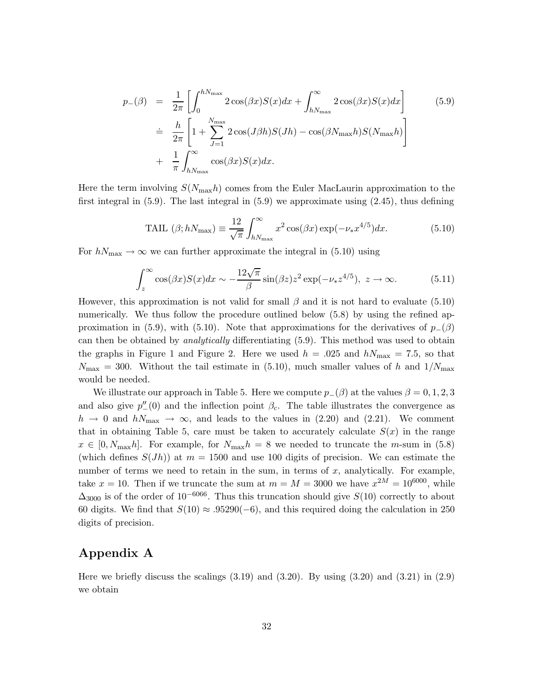$$
p_{-}(\beta) = \frac{1}{2\pi} \left[ \int_{0}^{hN_{\text{max}}} 2\cos(\beta x)S(x)dx + \int_{hN_{\text{max}}}^{\infty} 2\cos(\beta x)S(x)dx \right]
$$
(5.9)  

$$
\doteq \frac{h}{2\pi} \left[ 1 + \sum_{J=1}^{N_{\text{max}}} 2\cos(J\beta h)S(Jh) - \cos(\beta N_{\text{max}}h)S(N_{\text{max}}h) \right]
$$

$$
+ \frac{1}{\pi} \int_{hN_{\text{max}}}^{\infty} \cos(\beta x)S(x)dx.
$$

Here the term involving  $S(N_{\text{max}}h)$  comes from the Euler MacLaurin approximation to the first integral in  $(5.9)$ . The last integral in  $(5.9)$  we approximate using  $(2.45)$ , thus defining

$$
\text{TAIL} \ (\beta; hN_{\text{max}}) \equiv \frac{12}{\sqrt{\pi}} \int_{hN_{\text{max}}}^{\infty} x^2 \cos(\beta x) \exp(-\nu_* x^{4/5}) dx. \tag{5.10}
$$

For  $h_{{\rm max}} \to \infty$  we can further approximate the integral in (5.10) using

$$
\int_{z}^{\infty} \cos(\beta x) S(x) dx \sim -\frac{12\sqrt{\pi}}{\beta} \sin(\beta z) z^{2} \exp(-\nu_{*} z^{4/5}), \ z \to \infty.
$$
 (5.11)

However, this approximation is not valid for small *β* and it is not hard to evaluate (5.10) numerically. We thus follow the procedure outlined below (5.8) by using the refined approximation in (5.9), with (5.10). Note that approximations for the derivatives of  $p_-(\beta)$ can then be obtained by *analytically* differentiating (5.9). This method was used to obtain the graphs in Figure 1 and Figure 2. Here we used  $h = .025$  and  $h_{\text{max}} = 7.5$ , so that  $N_{\text{max}} = 300$ . Without the tail estimate in (5.10), much smaller values of *h* and  $1/N_{\text{max}}$ would be needed.

We illustrate our approach in Table 5. Here we compute  $p_-(\beta)$  at the values  $\beta = 0, 1, 2, 3$ and also give  $p''_{-}(0)$  and the inflection point  $\beta_c$ . The table illustrates the convergence as  $h \to 0$  and  $hN_{\text{max}} \to \infty$ , and leads to the values in (2.20) and (2.21). We comment that in obtaining Table 5, care must be taken to accurately calculate  $S(x)$  in the range  $x \in [0, N_{\text{max}}h]$ . For example, for  $N_{\text{max}}h = 8$  we needed to truncate the *m*-sum in (5.8) (which defines  $S(Jh)$ ) at  $m = 1500$  and use 100 digits of precision. We can estimate the number of terms we need to retain in the sum, in terms of *x*, analytically. For example, take  $x = 10$ . Then if we truncate the sum at  $m = M = 3000$  we have  $x^{2M} = 10^{6000}$ , while  $\Delta_{3000}$  is of the order of 10<sup>-6066</sup>. Thus this truncation should give *S*(10) correctly to about 60 digits. We find that  $S(10) \approx .95290(-6)$ , and this required doing the calculation in 250 digits of precision.

### **Appendix A**

Here we briefly discuss the scalings  $(3.19)$  and  $(3.20)$ . By using  $(3.20)$  and  $(3.21)$  in  $(2.9)$ we obtain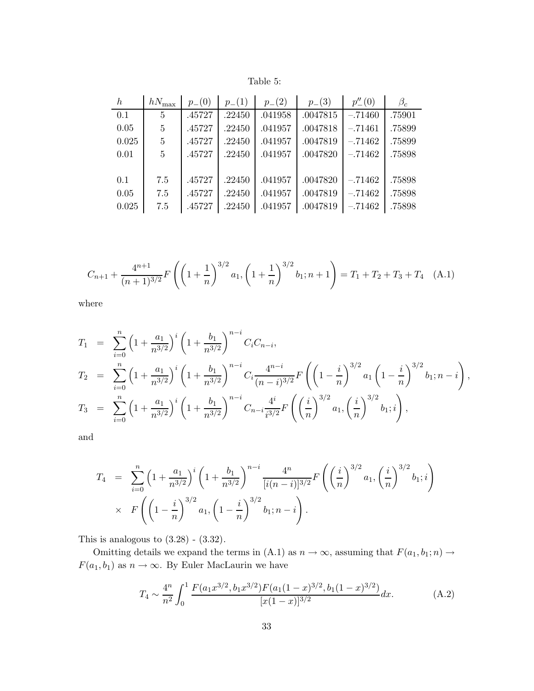| Table |  |
|-------|--|
|       |  |

| $\boldsymbol{h}$ | $hN_{\rm max}$ | $p_{-}(0)$ | $p_{-}(1)$ | $p_{-}(2)$ | $p_{-}(3)$ | $p_{-}^{"}(0)$ | $\beta_c$ |
|------------------|----------------|------------|------------|------------|------------|----------------|-----------|
| 0.1              | $\overline{5}$ | .45727     | .22450     | .041958    | .0047815   | $-.71460$      | .75901    |
| 0.05             | 5              | .45727     | .22450     | .041957    | .0047818   | $-.71461$      | .75899    |
| 0.025            | $\overline{5}$ | .45727     | .22450     | .041957    | .0047819   | $-.71462$      | .75899    |
| 0.01             | $\overline{5}$ | .45727     | .22450     | .041957    | .0047820   | $-.71462$      | .75898    |
|                  |                |            |            |            |            |                |           |
| 0.1              | 7.5            | .45727     | .22450     | .041957    | .0047820   | $-.71462$      | .75898    |
| 0.05             | 7.5            | .45727     | .22450     | .041957    | .0047819   | $-.71462$      | .75898    |
| 0.025            | 7.5            | .45727     | .22450     | .041957    | .0047819   | $-.71462$      | .75898    |

$$
C_{n+1} + \frac{4^{n+1}}{(n+1)^{3/2}} F\left(\left(1 + \frac{1}{n}\right)^{3/2} a_1, \left(1 + \frac{1}{n}\right)^{3/2} b_1; n+1\right) = T_1 + T_2 + T_3 + T_4 \quad (A.1)
$$

where

$$
T_1 = \sum_{i=0}^n \left(1 + \frac{a_1}{n^{3/2}}\right)^i \left(1 + \frac{b_1}{n^{3/2}}\right)^{n-i} C_i C_{n-i},
$$
  
\n
$$
T_2 = \sum_{i=0}^n \left(1 + \frac{a_1}{n^{3/2}}\right)^i \left(1 + \frac{b_1}{n^{3/2}}\right)^{n-i} C_i \frac{4^{n-i}}{(n-i)^{3/2}} F\left(\left(1 - \frac{i}{n}\right)^{3/2} a_1 \left(1 - \frac{i}{n}\right)^{3/2} b_1; n-i\right),
$$
  
\n
$$
T_3 = \sum_{i=0}^n \left(1 + \frac{a_1}{n^{3/2}}\right)^i \left(1 + \frac{b_1}{n^{3/2}}\right)^{n-i} C_{n-i} \frac{4^i}{i^{3/2}} F\left(\left(\frac{i}{n}\right)^{3/2} a_1, \left(\frac{i}{n}\right)^{3/2} b_1; i\right),
$$

and

$$
T_4 = \sum_{i=0}^n \left(1 + \frac{a_1}{n^{3/2}}\right)^i \left(1 + \frac{b_1}{n^{3/2}}\right)^{n-i} \frac{4^n}{[i(n-i)]^{3/2}} F\left(\left(\frac{i}{n}\right)^{3/2} a_1, \left(\frac{i}{n}\right)^{3/2} b_1; i\right)
$$
  
 
$$
\times F\left(\left(1 - \frac{i}{n}\right)^{3/2} a_1, \left(1 - \frac{i}{n}\right)^{3/2} b_1; n-i\right).
$$

This is analogous to  $(3.28)$  -  $(3.32)$ .

Omitting details we expand the terms in (A.1) as  $n \to \infty$ , assuming that  $F(a_1, b_1; n) \to$  $F(a_1, b_1)$  as  $n \to \infty$ . By Euler MacLaurin we have

$$
T_4 \sim \frac{4^n}{n^2} \int_0^1 \frac{F(a_1 x^{3/2}, b_1 x^{3/2}) F(a_1 (1-x)^{3/2}, b_1 (1-x)^{3/2})}{[x(1-x)]^{3/2}} dx.
$$
 (A.2)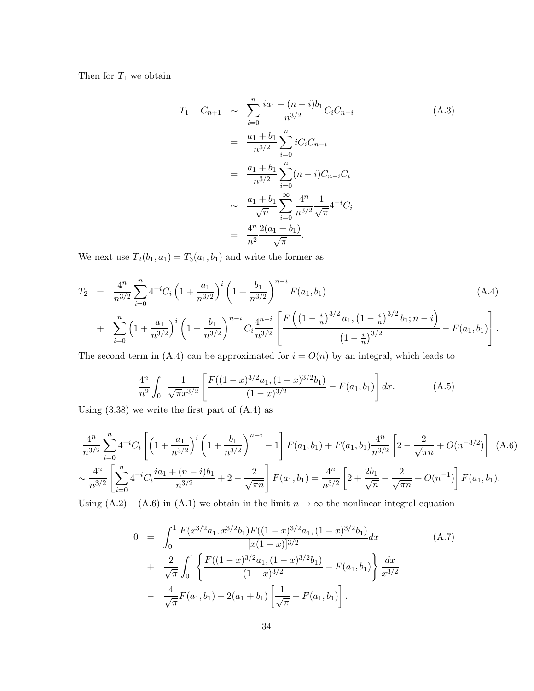Then for *T*<sup>1</sup> we obtain

$$
T_1 - C_{n+1} \sim \sum_{i=0}^n \frac{ia_1 + (n-i)b_1}{n^{3/2}} C_i C_{n-i}
$$
\n
$$
= \frac{a_1 + b_1}{n^{3/2}} \sum_{i=0}^n i C_i C_{n-i}
$$
\n
$$
= \frac{a_1 + b_1}{n^{3/2}} \sum_{i=0}^n (n-i) C_{n-i} C_i
$$
\n
$$
\sim \frac{a_1 + b_1}{\sqrt{n}} \sum_{i=0}^\infty \frac{4^n}{n^{3/2}} \frac{1}{\sqrt{\pi}} 4^{-i} C_i
$$
\n
$$
= \frac{4^n}{n^2} \frac{2(a_1 + b_1)}{\sqrt{\pi}}.
$$
\n(A.3)

We next use  $T_2(b_1, a_1) = T_3(a_1, b_1)$  and write the former as

$$
T_2 = \frac{4^n}{n^{3/2}} \sum_{i=0}^n 4^{-i} C_i \left( 1 + \frac{a_1}{n^{3/2}} \right)^i \left( 1 + \frac{b_1}{n^{3/2}} \right)^{n-i} F(a_1, b_1)
$$
\n
$$
+ \sum_{i=0}^n \left( 1 + \frac{a_1}{n^{3/2}} \right)^i \left( 1 + \frac{b_1}{n^{3/2}} \right)^{n-i} C_i \frac{4^{n-i}}{n^{3/2}} \left[ \frac{F \left( \left( 1 - \frac{i}{n} \right)^{3/2} a_1, \left( 1 - \frac{i}{n} \right)^{3/2} b_1; n - i \right)}{\left( 1 - \frac{i}{n} \right)^{3/2}} - F(a_1, b_1) \right].
$$
\n(B)

The second term in  $(A.4)$  can be approximated for  $i = O(n)$  by an integral, which leads to

$$
\frac{4^n}{n^2} \int_0^1 \frac{1}{\sqrt{\pi} x^{3/2}} \left[ \frac{F((1-x)^{3/2} a_1, (1-x)^{3/2} b_1)}{(1-x)^{3/2}} - F(a_1, b_1) \right] dx.
$$
 (A.5)

Using  $(3.38)$  we write the first part of  $(A.4)$  as

$$
\frac{4^n}{n^{3/2}} \sum_{i=0}^n 4^{-i} C_i \left[ \left( 1 + \frac{a_1}{n^{3/2}} \right)^i \left( 1 + \frac{b_1}{n^{3/2}} \right)^{n-i} - 1 \right] F(a_1, b_1) + F(a_1, b_1) \frac{4^n}{n^{3/2}} \left[ 2 - \frac{2}{\sqrt{\pi n}} + O(n^{-3/2}) \right] \tag{A.6}
$$
  

$$
\sim \frac{4^n}{n^{3/2}} \left[ \sum_{i=0}^n 4^{-i} C_i \frac{i a_1 + (n-i) b_1}{n^{3/2}} + 2 - \frac{2}{\sqrt{\pi n}} \right] F(a_1, b_1) = \frac{4^n}{n^{3/2}} \left[ 2 + \frac{2b_1}{\sqrt{n}} - \frac{2}{\sqrt{\pi n}} + O(n^{-1}) \right] F(a_1, b_1).
$$

Using  $(A.2) - (A.6)$  in  $(A.1)$  we obtain in the limit  $n \to \infty$  the nonlinear integral equation

$$
0 = \int_0^1 \frac{F(x^{3/2}a_1, x^{3/2}b_1)F((1-x)^{3/2}a_1, (1-x)^{3/2}b_1)}{[x(1-x)]^{3/2}} dx
$$
\n
$$
+ \frac{2}{\sqrt{\pi}} \int_0^1 \left\{ \frac{F((1-x)^{3/2}a_1, (1-x)^{3/2}b_1)}{(1-x)^{3/2}} - F(a_1, b_1) \right\} \frac{dx}{x^{3/2}}
$$
\n
$$
- \frac{4}{\sqrt{\pi}} F(a_1, b_1) + 2(a_1 + b_1) \left[ \frac{1}{\sqrt{\pi}} + F(a_1, b_1) \right].
$$
\n(A.7)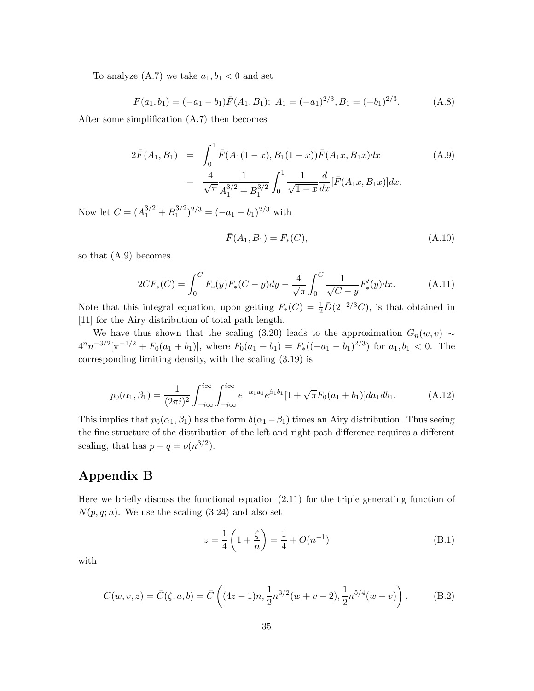To analyze  $(A.7)$  we take  $a_1, b_1 < 0$  and set

$$
F(a_1, b_1) = (-a_1 - b_1)\bar{F}(A_1, B_1); \ A_1 = (-a_1)^{2/3}, B_1 = (-b_1)^{2/3}.
$$
 (A.8)

After some simplification (A.7) then becomes

$$
2\bar{F}(A_1, B_1) = \int_0^1 \bar{F}(A_1(1-x), B_1(1-x))\bar{F}(A_1x, B_1x)dx
$$
\n
$$
- \frac{4}{\sqrt{\pi}} \frac{1}{A_1^{3/2} + B_1^{3/2}} \int_0^1 \frac{1}{\sqrt{1-x}} \frac{d}{dx} [\bar{F}(A_1x, B_1x)]dx.
$$
\n(A.9)

Now let  $C = (A_1^{3/2} + B_1^{3/2})^{2/3} = (-a_1 - b_1)^{2/3}$  with

$$
\bar{F}(A_1, B_1) = F_*(C),\tag{A.10}
$$

so that (A.9) becomes

$$
2CF_*(C) = \int_0^C F_*(y)F_*(C-y)dy - \frac{4}{\sqrt{\pi}} \int_0^C \frac{1}{\sqrt{C-y}} F'_*(y)dx.
$$
 (A.11)

Note that this integral equation, upon getting  $F_*(C) = \frac{1}{2}\overline{D}(2^{-2/3}C)$ , is that obtained in [11] for the Airy distribution of total path length.

We have thus shown that the scaling (3.20) leads to the approximation  $G_n(w, v) \sim$  $4^n n^{-3/2} [\pi^{-1/2} + F_0(a_1 + b_1)]$ , where  $F_0(a_1 + b_1) = F_*((-a_1 - b_1)^{2/3})$  for  $a_1, b_1 < 0$ . The corresponding limiting density, with the scaling (3.19) is

$$
p_0(\alpha_1, \beta_1) = \frac{1}{(2\pi i)^2} \int_{-i\infty}^{i\infty} \int_{-i\infty}^{i\infty} e^{-\alpha_1 a_1} e^{\beta_1 b_1} [1 + \sqrt{\pi} F_0(a_1 + b_1)] da_1 db_1.
$$
 (A.12)

This implies that  $p_0(\alpha_1, \beta_1)$  has the form  $\delta(\alpha_1 - \beta_1)$  times an Airy distribution. Thus seeing the fine structure of the distribution of the left and right path difference requires a different scaling, that has  $p - q = o(n^{3/2})$ .

### **Appendix B**

Here we briefly discuss the functional equation (2.11) for the triple generating function of  $N(p, q; n)$ . We use the scaling  $(3.24)$  and also set

$$
z = \frac{1}{4} \left( 1 + \frac{\zeta}{n} \right) = \frac{1}{4} + O(n^{-1})
$$
 (B.1)

with

$$
C(w, v, z) = \bar{C}(\zeta, a, b) = \bar{C} \left( (4z - 1)n, \frac{1}{2} n^{3/2} (w + v - 2), \frac{1}{2} n^{5/4} (w - v) \right). \tag{B.2}
$$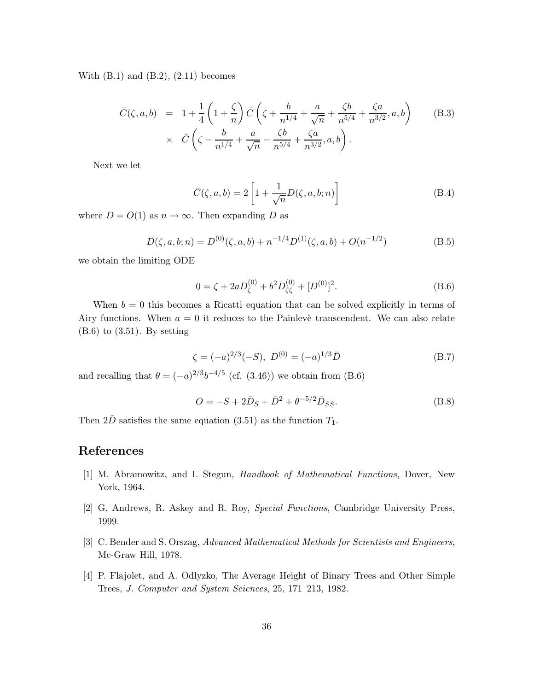With  $(B.1)$  and  $(B.2)$ ,  $(2.11)$  becomes

$$
\bar{C}(\zeta, a, b) = 1 + \frac{1}{4} \left( 1 + \frac{\zeta}{n} \right) \bar{C} \left( \zeta + \frac{b}{n^{1/4}} + \frac{a}{\sqrt{n}} + \frac{\zeta b}{n^{5/4}} + \frac{\zeta a}{n^{3/2}}, a, b \right) \times \bar{C} \left( \zeta - \frac{b}{n^{1/4}} + \frac{a}{\sqrt{n}} - \frac{\zeta b}{n^{5/4}} + \frac{\zeta a}{n^{3/2}}, a, b \right).
$$
\n(B.3)

Next we let

$$
\bar{C}(\zeta, a, b) = 2\left[1 + \frac{1}{\sqrt{n}}D(\zeta, a, b; n)\right]
$$
\n(B.4)

where  $D = O(1)$  as  $n \to \infty$ . Then expanding *D* as

$$
D(\zeta, a, b; n) = D^{(0)}(\zeta, a, b) + n^{-1/4} D^{(1)}(\zeta, a, b) + O(n^{-1/2})
$$
 (B.5)

we obtain the limiting ODE

$$
0 = \zeta + 2aD_{\zeta}^{(0)} + b^2 D_{\zeta\zeta}^{(0)} + [D^{(0)}]^2.
$$
 (B.6)

When  $b = 0$  this becomes a Ricatti equation that can be solved explicitly in terms of Airy functions. When  $a = 0$  it reduces to the Painleve transcendent. We can also relate  $(B.6)$  to  $(3.51)$ . By setting

$$
\zeta = (-a)^{2/3}(-S), \ D^{(0)} = (-a)^{1/3}\bar{D}
$$
 (B.7)

and recalling that  $\theta = (-a)^{2/3}b^{-4/5}$  (cf. (3.46)) we obtain from (B.6)

$$
O = -S + 2\bar{D}_S + \bar{D}^2 + \theta^{-5/2}\bar{D}_{SS}.
$$
 (B.8)

Then  $2\overline{D}$  satisfies the same equation (3.51) as the function  $T_1$ .

# **References**

- [1] M. Abramowitz, and I. Stegun, *Handbook of Mathematical Functions*, Dover, New York, 1964.
- [2] G. Andrews, R. Askey and R. Roy, *Special Functions*, Cambridge University Press, 1999.
- [3] C. Bender and S. Orszag, *Advanced Mathematical Methods for Scientists and Engineers*, Mc-Graw Hill, 1978.
- [4] P. Flajolet, and A. Odlyzko, The Average Height of Binary Trees and Other Simple Trees, *J. Computer and System Sciences*, 25, 171–213, 1982.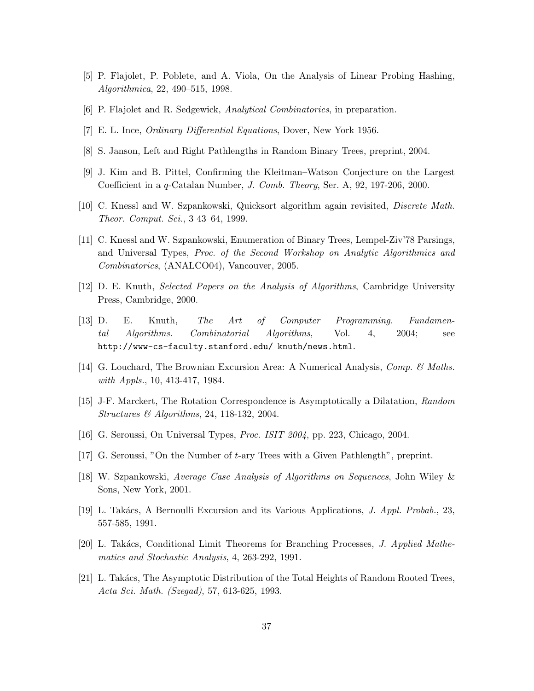- [5] P. Flajolet, P. Poblete, and A. Viola, On the Analysis of Linear Probing Hashing, *Algorithmica*, 22, 490–515, 1998.
- [6] P. Flajolet and R. Sedgewick, *Analytical Combinatorics*, in preparation.
- [7] E. L. Ince, *Ordinary Differential Equations*, Dover, New York 1956.
- [8] S. Janson, Left and Right Pathlengths in Random Binary Trees, preprint, 2004.
- [9] J. Kim and B. Pittel, Confirming the Kleitman–Watson Conjecture on the Largest Coefficient in a *q*-Catalan Number, *J. Comb. Theory*, Ser. A, 92, 197-206, 2000.
- [10] C. Knessl and W. Szpankowski, Quicksort algorithm again revisited, *Discrete Math. Theor. Comput. Sci.*, 3 43–64, 1999.
- [11] C. Knessl and W. Szpankowski, Enumeration of Binary Trees, Lempel-Ziv'78 Parsings, and Universal Types, *Proc. of the Second Workshop on Analytic Algorithmics and Combinatorics*, (ANALCO04), Vancouver, 2005.
- [12] D. E. Knuth, *Selected Papers on the Analysis of Algorithms*, Cambridge University Press, Cambridge, 2000.
- [13] D. E. Knuth, *The Art of Computer Programming. Fundamental Algorithms. Combinatorial Algorithms*, Vol. 4, 2004; see http://www-cs-faculty.stanford.edu/ knuth/news.html.
- [14] G. Louchard, The Brownian Excursion Area: A Numerical Analysis, *Comp. & Maths. with Appls.*, 10, 413-417, 1984.
- [15] J-F. Marckert, The Rotation Correspondence is Asymptotically a Dilatation, *Random Structures & Algorithms*, 24, 118-132, 2004.
- [16] G. Seroussi, On Universal Types, *Proc. ISIT 2004*, pp. 223, Chicago, 2004.
- [17] G. Seroussi, "On the Number of *t*-ary Trees with a Given Pathlength", preprint.
- [18] W. Szpankowski, *Average Case Analysis of Algorithms on Sequences*, John Wiley & Sons, New York, 2001.
- [19] L. Tak´acs, A Bernoulli Excursion and its Various Applications, *J. Appl. Probab.*, 23, 557-585, 1991.
- [20] L. Takács, Conditional Limit Theorems for Branching Processes, *J. Applied Mathematics and Stochastic Analysis*, 4, 263-292, 1991.
- [21] L. Takács, The Asymptotic Distribution of the Total Heights of Random Rooted Trees, *Acta Sci. Math. (Szegad)*, 57, 613-625, 1993.